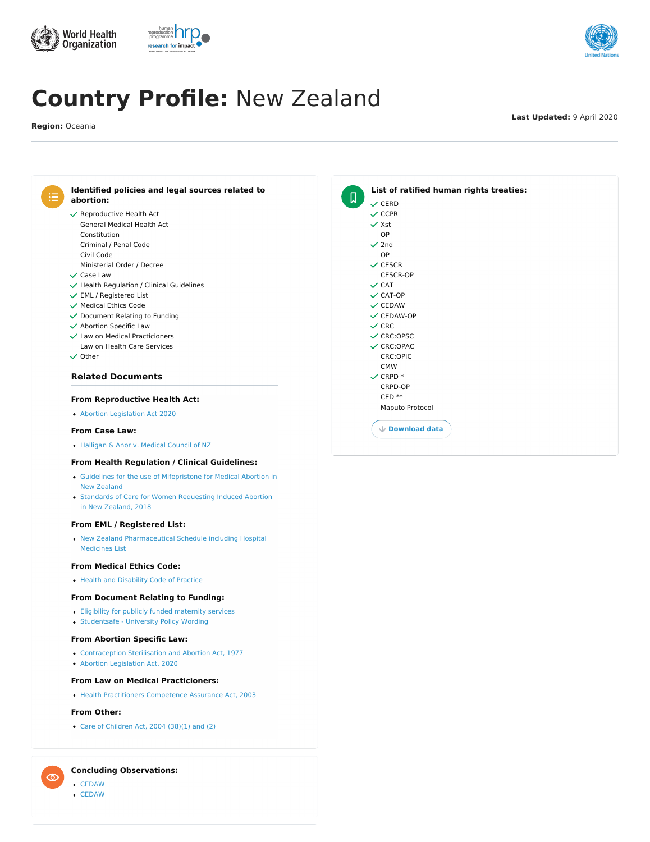

# research for impact



### **Related Documents**

### **Concluding Observations:**



- $\checkmark$  Document Relating to Funding
- $\checkmark$  Abortion Specific Law
- Law on Health Care Services Law on Medical Practicioners
- $\checkmark$  Other



# **Country Profile:** New Zealand

**Region:** Oceania

**Last Updated:** 9 April 2020

[CEDAW](http://tbinternet.ohchr.org/_layouts/treatybodyexternal/Download.aspx?symbolno=CEDAWCNZLCO7&Lang=en)

 $\circledcirc$ 

[CEDAW](https://tbinternet.ohchr.org/_layouts/treatybodyexternal/Download.aspx?symbolno=CEDAWCNZLCO8&Lang=en)

- Eligibility for publicly funded [maternity](https://abortion-policies.srhr.org/documents/countries/07-New-Zealand-Eligibilty-for-Publicly-Funded-Maternity-Services-Ministry-of-Health.pdf) services
- [Studentsafe](https://abortion-policies.srhr.org/documents/countries/10-New-Zealand-Studentsafe-University-Policy-Allianz-2015.pdf) University Policy Wording

- [Contraception](https://abortion-policies.srhr.org/documents/countries/02-New-Zealand-Contraception-Sterilisation-and-Abortion-Act-1977.pdf) Sterilisation and Abortion Act, 1977
- Abortion [Legislation](https://abortion-policies.srhr.org/documents/countries/05-New-Zealand-Abortion-Legislation-Act-2020.pdf) Act, 2020

#### **From Reproductive Health Act:**

Abortion [Legislation](https://abortion-policies.srhr.org/documents/countries/05-New-Zealand-Abortion-Legislation-Act-2020.pdf) Act 2020

#### **From Case Law:**

[Halligan](https://abortion-policies.srhr.org/documents/countries/11-New-Zealand-Halligan-and-Anor-v-Medical-Council-of-NZ-High-Court-of-NZ-2010.pdf) & Anor v. Medical Council of NZ

#### **From Health Regulation / Clinical Guidelines:**

- Guidelines for the use of [Mifepristone](https://abortion-policies.srhr.org/documents/countries/04-New-Zealand-Guidelines-for-Use-of-Mifepristone.pdf) for Medical Abortion in New Zealand
- Standards of Care for Women [Requesting](https://abortion-policies.srhr.org/documents/countries/12-New-Zealand-Standards-Care-Guidelines-Abortion-2018.pdf) Induced Abortion in New Zealand, 2018

#### **From EML / Registered List:**

New Zealand [Pharmaceutical](https://abortion-policies.srhr.org/documents/countries/06-New-Zealand-Pharmaceutical-Schedule-Section-H-for-Hospital-Pharmaceuticals-including-Hospital-Medicines-List-Pharmaceutical-Medicines-Agency-2015.pdf) Schedule including Hospital

Medicines List

#### **From Medical Ethics Code:**

• Health and [Disability](https://abortion-policies.srhr.org/documents/countries/13-New-Zealand-Code-of-Rights-Health-and-Disability-Commissioner.pdf) Code of Practice

#### **From Document Relating to Funding:**

#### **From Abortion Specific Law:**

#### **From Law on Medical Practicioners:**

Health Practitioners [Competence](https://abortion-policies.srhr.org/documents/countries/09-New-Zealand-Health-Practitioners-Competence-Assurance-Act-2003.pdf) Assurance Act, 2003

#### **From Other:**

Care of [Children](https://abortion-policies.srhr.org/documents/countries/03-NEW-ZEALAND-CARE-OF-CHILDREN-ACT-MINISTRY-OF-JUSTICE-2004.pdf) Act, 2004 (38)(1) and (2)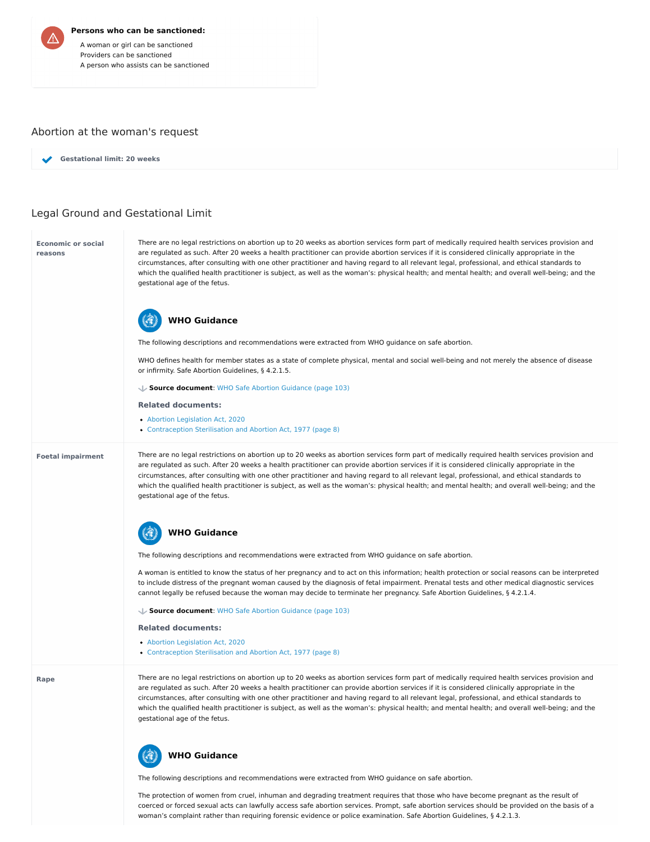#### **Persons who can be sanctioned:**

A woman or girl can be sanctioned Providers can be sanctioned A person who assists can be sanctioned

## Abortion at the woman's request

# Legal Ground and Gestational Limit

**Gestational limit: 20 weeks**

#### **Economic or social reasons**

#### **Foetal impairment**

**Rape**

There are no legal restrictions on abortion up to 20 weeks as abortion services form part of medically required health services provision and are regulated as such. After 20 weeks a health practitioner can provide abortion services if it is considered clinically appropriate in the circumstances, after consulting with one other practitioner and having regard to all relevant legal, professional, and ethical standards to which the qualified health practitioner is subject, as well as the woman's: physical health; and mental health; and overall well-being; and the gestational age of the fetus.

- Abortion [Legislation](https://abortion-policies.srhr.org/documents/countries/05-New-Zealand-Abortion-Legislation-Act-2020.PDF#PAGE=5 
) Act, 2020
- [Contraception](https://abortion-policies.srhr.org/documents/countries/02-New-Zealand-Contraception-Sterilisation-and-Abortion-Act-1977.pdf#page=8) Sterilisation and Abortion Act, 1977 (page 8)

The following descriptions and recommendations were extracted from WHO guidance on safe abortion.

WHO defines health for member states as a state of complete physical, mental and social well-being and not merely the absence of disease or infirmity. Safe Abortion Guidelines, § 4.2.1.5.

# **WHO Guidance**

**Source document**: WHO Safe Abortion [Guidance](https://abortion-policies.srhr.org/documents/reference/WHO-Safe-Abortion-Guidance-2012.pdf#page=103) (page 103)

#### **Related documents:**

- Abortion [Legislation](https://abortion-policies.srhr.org/documents/countries/05-New-Zealand-Abortion-Legislation-Act-2020.PDF#PAGE=5 
) Act, 2020
- [Contraception](https://abortion-policies.srhr.org/documents/countries/02-New-Zealand-Contraception-Sterilisation-and-Abortion-Act-1977.pdf#page=8) Sterilisation and Abortion Act, 1977 (page 8)

There are no legal restrictions on abortion up to 20 weeks as abortion services form part of medically required health services provision and are regulated as such. After 20 weeks a health practitioner can provide abortion services if it is considered clinically appropriate in the circumstances, after consulting with one other practitioner and having regard to all relevant legal, professional, and ethical standards to which the qualified health practitioner is subject, as well as the woman's: physical health; and mental health; and overall well-being; and the gestational age of the fetus.

The following descriptions and recommendations were extracted from WHO guidance on safe abortion.

A woman is entitled to know the status of her pregnancy and to act on this information; health protection or social reasons can be interpreted to include distress of the pregnant woman caused by the diagnosis of fetal impairment. Prenatal tests and other medical diagnostic services cannot legally be refused because the woman may decide to terminate her pregnancy. Safe Abortion Guidelines, § 4.2.1.4.



**Source document**: WHO Safe Abortion [Guidance](https://abortion-policies.srhr.org/documents/reference/WHO-Safe-Abortion-Guidance-2012.pdf#page=103) (page 103)

#### **Related documents:**

There are no legal restrictions on abortion up to 20 weeks as abortion services form part of medically required health services provision and are regulated as such. After 20 weeks a health practitioner can provide abortion services if it is considered clinically appropriate in the circumstances, after consulting with one other practitioner and having regard to all relevant legal, professional, and ethical standards to which the qualified health practitioner is subject, as well as the woman's: physical health; and mental health; and overall well-being; and the gestational age of the fetus.

The following descriptions and recommendations were extracted from WHO guidance on safe abortion.

The protection of women from cruel, inhuman and degrading treatment requires that those who have become pregnant as the result of coerced or forced sexual acts can lawfully access safe abortion services. Prompt, safe abortion services should be provided on the basis of a woman's complaint rather than requiring forensic evidence or police examination. Safe Abortion Guidelines, § 4.2.1.3.

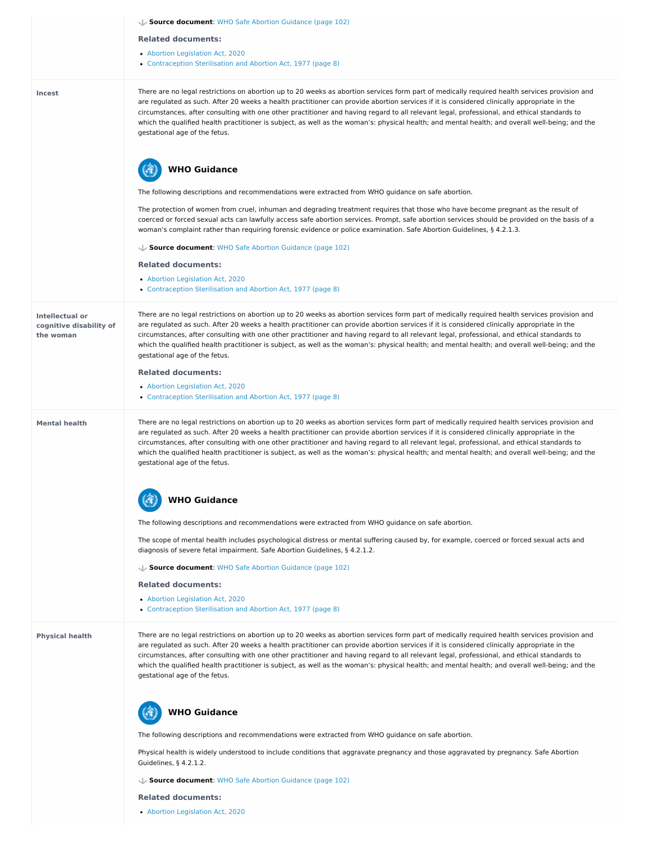|                                                                | Source document: WHO Safe Abortion Guidance (page 102)                                                                                                                                                                                                                                                                                                                                                                                                                                                                                                                                                                          |
|----------------------------------------------------------------|---------------------------------------------------------------------------------------------------------------------------------------------------------------------------------------------------------------------------------------------------------------------------------------------------------------------------------------------------------------------------------------------------------------------------------------------------------------------------------------------------------------------------------------------------------------------------------------------------------------------------------|
|                                                                | <b>Related documents:</b>                                                                                                                                                                                                                                                                                                                                                                                                                                                                                                                                                                                                       |
|                                                                | • Abortion Legislation Act, 2020                                                                                                                                                                                                                                                                                                                                                                                                                                                                                                                                                                                                |
|                                                                | • Contraception Sterilisation and Abortion Act, 1977 (page 8)                                                                                                                                                                                                                                                                                                                                                                                                                                                                                                                                                                   |
| <b>Incest</b>                                                  | There are no legal restrictions on abortion up to 20 weeks as abortion services form part of medically required health services provision and<br>are regulated as such. After 20 weeks a health practitioner can provide abortion services if it is considered clinically appropriate in the<br>circumstances, after consulting with one other practitioner and having regard to all relevant legal, professional, and ethical standards to<br>which the qualified health practitioner is subject, as well as the woman's: physical health; and mental health; and overall well-being; and the<br>gestational age of the fetus. |
|                                                                | <b>WHO Guidance</b>                                                                                                                                                                                                                                                                                                                                                                                                                                                                                                                                                                                                             |
|                                                                | The following descriptions and recommendations were extracted from WHO guidance on safe abortion.                                                                                                                                                                                                                                                                                                                                                                                                                                                                                                                               |
|                                                                | The protection of women from cruel, inhuman and degrading treatment requires that those who have become pregnant as the result of<br>coerced or forced sexual acts can lawfully access safe abortion services. Prompt, safe abortion services should be provided on the basis of a<br>woman's complaint rather than requiring forensic evidence or police examination. Safe Abortion Guidelines, § 4.2.1.3.                                                                                                                                                                                                                     |
|                                                                | Source document: WHO Safe Abortion Guidance (page 102)                                                                                                                                                                                                                                                                                                                                                                                                                                                                                                                                                                          |
|                                                                | <b>Related documents:</b>                                                                                                                                                                                                                                                                                                                                                                                                                                                                                                                                                                                                       |
|                                                                | • Abortion Legislation Act, 2020<br>• Contraception Sterilisation and Abortion Act, 1977 (page 8)                                                                                                                                                                                                                                                                                                                                                                                                                                                                                                                               |
| <b>Intellectual or</b><br>cognitive disability of<br>the woman | There are no legal restrictions on abortion up to 20 weeks as abortion services form part of medically required health services provision and<br>are regulated as such. After 20 weeks a health practitioner can provide abortion services if it is considered clinically appropriate in the<br>circumstances, after consulting with one other practitioner and having regard to all relevant legal, professional, and ethical standards to<br>which the qualified health practitioner is subject, as well as the woman's: physical health; and mental health; and overall well-being; and the<br>gestational age of the fetus. |
|                                                                | <b>Related documents:</b>                                                                                                                                                                                                                                                                                                                                                                                                                                                                                                                                                                                                       |
|                                                                | • Abortion Legislation Act, 2020<br>• Contraception Sterilisation and Abortion Act, 1977 (page 8)                                                                                                                                                                                                                                                                                                                                                                                                                                                                                                                               |
| <b>Mental health</b>                                           | There are no legal restrictions on abortion up to 20 weeks as abortion services form part of medically required health services provision and<br>are regulated as such. After 20 weeks a health practitioner can provide abortion services if it is considered clinically appropriate in the<br>circumstances, after consulting with one other practitioner and having regard to all relevant legal, professional, and ethical standards to<br>which the qualified health practitioner is subject, as well as the woman's: physical health; and mental health; and overall well-being; and the<br>gestational age of the fetus. |
|                                                                | <b>WHO Guidance</b>                                                                                                                                                                                                                                                                                                                                                                                                                                                                                                                                                                                                             |

The following descriptions and recommendations were extracted from WHO guidance on safe abortion.

The scope of mental health includes psychological distress or mental suffering caused by, for example, coerced or forced sexual acts and diagnosis of severe fetal impairment. Safe Abortion Guidelines, § 4.2.1.2. **Source document**: WHO Safe Abortion [Guidance](https://abortion-policies.srhr.org/documents/reference/WHO-Safe-Abortion-Guidance-2012.pdf#page=102) (page 102) **Related documents:** • Abortion [Legislation](https://abortion-policies.srhr.org/documents/countries/05-New-Zealand-Abortion-Legislation-Act-2020.PDF#PAGE=5 
) Act, 2020 [Contraception](https://abortion-policies.srhr.org/documents/countries/02-New-Zealand-Contraception-Sterilisation-and-Abortion-Act-1977.pdf#page=8) Sterilisation and Abortion Act, 1977 (page 8) There are no legal restrictions on abortion up to 20 weeks as abortion services form part of medically required health services provision and **Physical health** are regulated as such. After 20 weeks a health practitioner can provide abortion services if it is considered clinically appropriate in the circumstances, after consulting with one other practitioner and having regard to all relevant legal, professional, and ethical standards to which the qualified health practitioner is subject, as well as the woman's: physical health; and mental health; and overall well-being; and the gestational age of the fetus. **WHO Guidance** 43 The following descriptions and recommendations were extracted from WHO guidance on safe abortion. Physical health is widely understood to include conditions that aggravate pregnancy and those aggravated by pregnancy. Safe Abortion

Guidelines, § 4.2.1.2.

**Source document**: WHO Safe Abortion [Guidance](https://abortion-policies.srhr.org/documents/reference/WHO-Safe-Abortion-Guidance-2012.pdf#page=102) (page 102)

#### **Related documents:**

Abortion [Legislation](https://abortion-policies.srhr.org/documents/countries/05-New-Zealand-Abortion-Legislation-Act-2020.PDF#PAGE=5 
) Act, 2020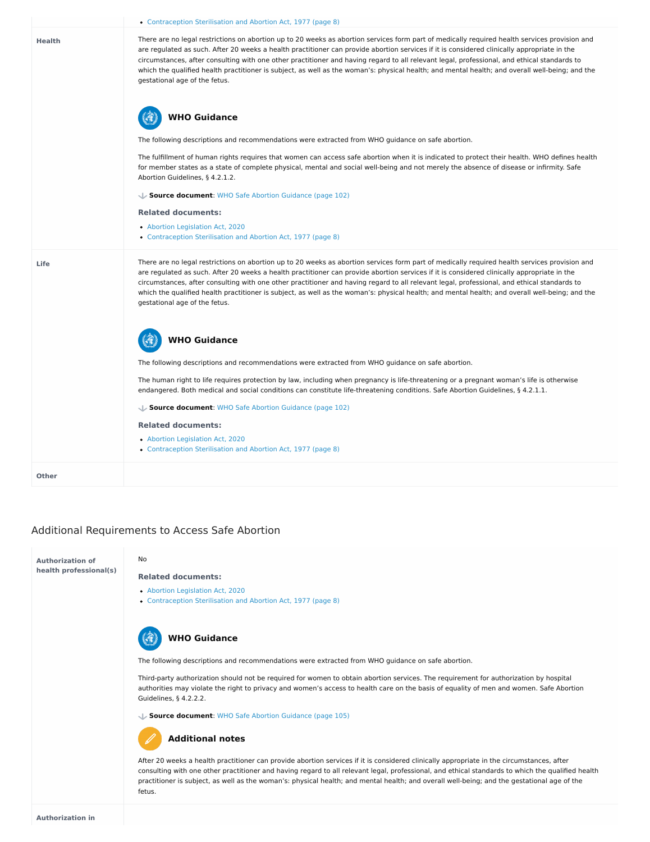# Additional Requirements to Access Safe Abortion

|               | • Contraception Sterilisation and Abortion Act, 1977 (page 8)                                                                                                                                                                                                                                                                                                                                                                                                                                                                                                                                                                   |
|---------------|---------------------------------------------------------------------------------------------------------------------------------------------------------------------------------------------------------------------------------------------------------------------------------------------------------------------------------------------------------------------------------------------------------------------------------------------------------------------------------------------------------------------------------------------------------------------------------------------------------------------------------|
| <b>Health</b> | There are no legal restrictions on abortion up to 20 weeks as abortion services form part of medically required health services provision and<br>are regulated as such. After 20 weeks a health practitioner can provide abortion services if it is considered clinically appropriate in the<br>circumstances, after consulting with one other practitioner and having regard to all relevant legal, professional, and ethical standards to<br>which the qualified health practitioner is subject, as well as the woman's: physical health; and mental health; and overall well-being; and the<br>gestational age of the fetus. |
|               | <b>WHO Guidance</b>                                                                                                                                                                                                                                                                                                                                                                                                                                                                                                                                                                                                             |
|               | The following descriptions and recommendations were extracted from WHO guidance on safe abortion.                                                                                                                                                                                                                                                                                                                                                                                                                                                                                                                               |
|               | The fulfillment of human rights requires that women can access safe abortion when it is indicated to protect their health. WHO defines health<br>for member states as a state of complete physical, mental and social well-being and not merely the absence of disease or infirmity. Safe<br>Abortion Guidelines, § 4.2.1.2.                                                                                                                                                                                                                                                                                                    |
|               | Source document: WHO Safe Abortion Guidance (page 102)                                                                                                                                                                                                                                                                                                                                                                                                                                                                                                                                                                          |
|               | <b>Related documents:</b>                                                                                                                                                                                                                                                                                                                                                                                                                                                                                                                                                                                                       |
|               | • Abortion Legislation Act, 2020<br>• Contraception Sterilisation and Abortion Act, 1977 (page 8)                                                                                                                                                                                                                                                                                                                                                                                                                                                                                                                               |
| <b>Life</b>   | There are no legal restrictions on abortion up to 20 weeks as abortion services form part of medically required health services provision and<br>are regulated as such. After 20 weeks a health practitioner can provide abortion services if it is considered clinically appropriate in the<br>circumstances, after consulting with one other practitioner and having regard to all relevant legal, professional, and ethical standards to<br>which the qualified health practitioner is subject, as well as the woman's: physical health; and mental health; and overall well-being; and the<br>gestational age of the fetus. |
|               | <b>WHO Guidance</b>                                                                                                                                                                                                                                                                                                                                                                                                                                                                                                                                                                                                             |
|               | The following descriptions and recommendations were extracted from WHO guidance on safe abortion.                                                                                                                                                                                                                                                                                                                                                                                                                                                                                                                               |
|               | The human right to life requires protection by law, including when pregnancy is life-threatening or a pregnant woman's life is otherwise<br>endangered. Both medical and social conditions can constitute life-threatening conditions. Safe Abortion Guidelines, § 4.2.1.1.                                                                                                                                                                                                                                                                                                                                                     |
|               | Source document: WHO Safe Abortion Guidance (page 102)                                                                                                                                                                                                                                                                                                                                                                                                                                                                                                                                                                          |
|               | <b>Related documents:</b>                                                                                                                                                                                                                                                                                                                                                                                                                                                                                                                                                                                                       |
|               | • Abortion Legislation Act, 2020<br>• Contraception Sterilisation and Abortion Act, 1977 (page 8)                                                                                                                                                                                                                                                                                                                                                                                                                                                                                                                               |
| <b>Other</b>  |                                                                                                                                                                                                                                                                                                                                                                                                                                                                                                                                                                                                                                 |

#### **Authorization of health professional(s)**

#### No

#### **Related documents:**

- Abortion [Legislation](https://abortion-policies.srhr.org/documents/countries/05-New-Zealand-Abortion-Legislation-Act-2020.PDF#PAGE=5 
) Act, 2020
- [Contraception](https://abortion-policies.srhr.org/documents/countries/02-New-Zealand-Contraception-Sterilisation-and-Abortion-Act-1977.pdf#page=8) Sterilisation and Abortion Act, 1977 (page 8)

The following descriptions and recommendations were extracted from WHO guidance on safe abortion.

Third-party authorization should not be required for women to obtain abortion services. The requirement for authorization by hospital authorities may violate the right to privacy and women's access to health care on the basis of equality of men and women. Safe Abortion Guidelines, § 4.2.2.2.



**Source document**: WHO Safe Abortion [Guidance](https://abortion-policies.srhr.org/documents/reference/WHO-Safe-Abortion-Guidance-2012.pdf#page=105) (page 105)

After 20 weeks a health practitioner can provide abortion services if it is considered clinically appropriate in the circumstances, after consulting with one other practitioner and having regard to all relevant legal, professional, and ethical standards to which the qualified health practitioner is subject, as well as the woman's: physical health; and mental health; and overall well-being; and the gestational age of the fetus.

### **Additional notes**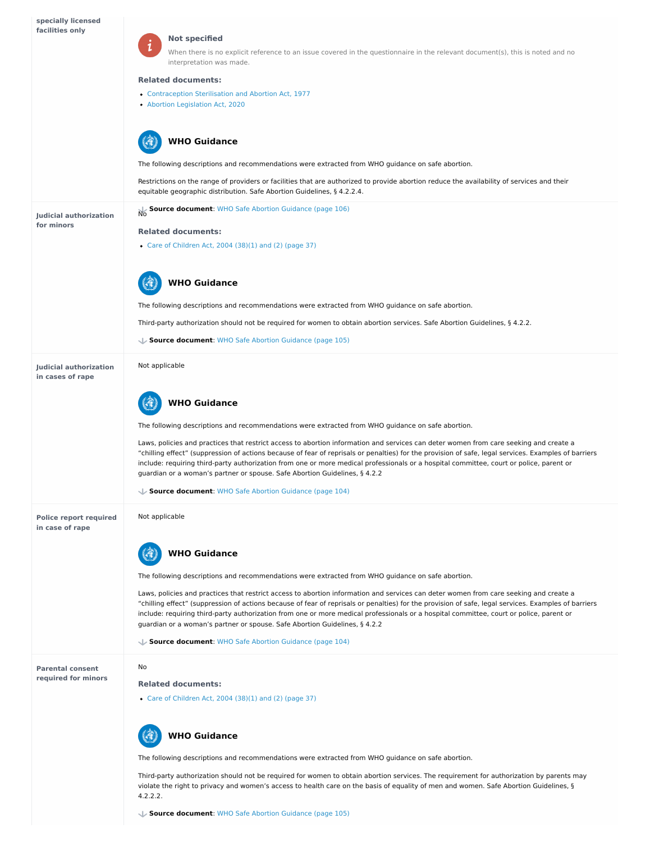

**in case of rape**

**Parental consent required for minors**

- [Contraception](https://abortion-policies.srhr.org/documents/countries/02-New-Zealand-Contraception-Sterilisation-and-Abortion-Act-1977.pdf) Sterilisation and Abortion Act, 1977
- Abortion [Legislation](https://abortion-policies.srhr.org/documents/countries/05-New-Zealand-Abortion-Legislation-Act-2020.pdf) Act, 2020

#### **Not specified**

When there is no explicit reference to an issue covered in the questionnaire in the relevant document(s), this is noted and no interpretation was made.

#### **Related documents:**

# **WHO Guidance**

|                                                   | <b>WHO Guidance</b><br><b>A-BAR</b>                                                                                                                                                                                                                                                                                                                                                                                                                                                                                    |
|---------------------------------------------------|------------------------------------------------------------------------------------------------------------------------------------------------------------------------------------------------------------------------------------------------------------------------------------------------------------------------------------------------------------------------------------------------------------------------------------------------------------------------------------------------------------------------|
|                                                   | The following descriptions and recommendations were extracted from WHO guidance on safe abortion.                                                                                                                                                                                                                                                                                                                                                                                                                      |
|                                                   | Restrictions on the range of providers or facilities that are authorized to provide abortion reduce the availability of services and their<br>equitable geographic distribution. Safe Abortion Guidelines, § 4.2.2.4.                                                                                                                                                                                                                                                                                                  |
| <b>Judicial authorization</b>                     | Source document: WHO Safe Abortion Guidance (page 106)                                                                                                                                                                                                                                                                                                                                                                                                                                                                 |
| for minors                                        | <b>Related documents:</b>                                                                                                                                                                                                                                                                                                                                                                                                                                                                                              |
|                                                   | • Care of Children Act, 2004 (38)(1) and (2) (page 37)                                                                                                                                                                                                                                                                                                                                                                                                                                                                 |
|                                                   | <b>WHO Guidance</b>                                                                                                                                                                                                                                                                                                                                                                                                                                                                                                    |
|                                                   | The following descriptions and recommendations were extracted from WHO guidance on safe abortion.                                                                                                                                                                                                                                                                                                                                                                                                                      |
|                                                   | Third-party authorization should not be required for women to obtain abortion services. Safe Abortion Guidelines, § 4.2.2.                                                                                                                                                                                                                                                                                                                                                                                             |
|                                                   | Source document: WHO Safe Abortion Guidance (page 105)                                                                                                                                                                                                                                                                                                                                                                                                                                                                 |
| <b>Judicial authorization</b><br>in cases of rape | Not applicable                                                                                                                                                                                                                                                                                                                                                                                                                                                                                                         |
|                                                   | <b>WHO Guidance</b>                                                                                                                                                                                                                                                                                                                                                                                                                                                                                                    |
|                                                   | The following descriptions and recommendations were extracted from WHO guidance on safe abortion.                                                                                                                                                                                                                                                                                                                                                                                                                      |
|                                                   | Laws, policies and practices that restrict access to abortion information and services can deter women from care seeking and create a<br>"chilling effect" (suppression of actions because of fear of reprisals or penalties) for the provision of safe, legal services. Examples of barriers<br>include: requiring third-party authorization from one or more medical professionals or a hospital committee, court or police, parent or<br>guardian or a woman's partner or spouse. Safe Abortion Guidelines, § 4.2.2 |
|                                                   | Source document: WHO Safe Abortion Guidance (page 104)                                                                                                                                                                                                                                                                                                                                                                                                                                                                 |
| <b>Police report required</b>                     | Not applicable                                                                                                                                                                                                                                                                                                                                                                                                                                                                                                         |

The following descriptions and recommendations were extracted from WHO guidance on safe abortion.

Laws, policies and practices that restrict access to abortion information and services can deter women from care seeking and create a "chilling effect" (suppression of actions because of fear of reprisals or penalties) for the provision of safe, legal services. Examples of barriers include: requiring third-party authorization from one or more medical professionals or a hospital committee, court or police, parent or guardian or a woman's partner or spouse. Safe Abortion Guidelines, § 4.2.2

# **WHO Guidance**

**Source document**: WHO Safe Abortion [Guidance](https://abortion-policies.srhr.org/documents/reference/WHO-Safe-Abortion-Guidance-2012.pdf#page=104) (page 104)

#### No

#### **Related documents:**

Care of [Children](https://abortion-policies.srhr.org/documents/countries/03-NEW-ZEALAND-CARE-OF-CHILDREN-ACT-MINISTRY-OF-JUSTICE-2004.pdf#page=37) Act, 2004 (38)(1) and (2) (page 37)

The following descriptions and recommendations were extracted from WHO guidance on safe abortion.

Third-party authorization should not be required for women to obtain abortion services. The requirement for authorization by parents may violate the right to privacy and women's access to health care on the basis of equality of men and women. Safe Abortion Guidelines, § 4.2.2.2.



**Source document**: WHO Safe Abortion [Guidance](https://abortion-policies.srhr.org/documents/reference/WHO-Safe-Abortion-Guidance-2012.pdf#page=105) (page 105)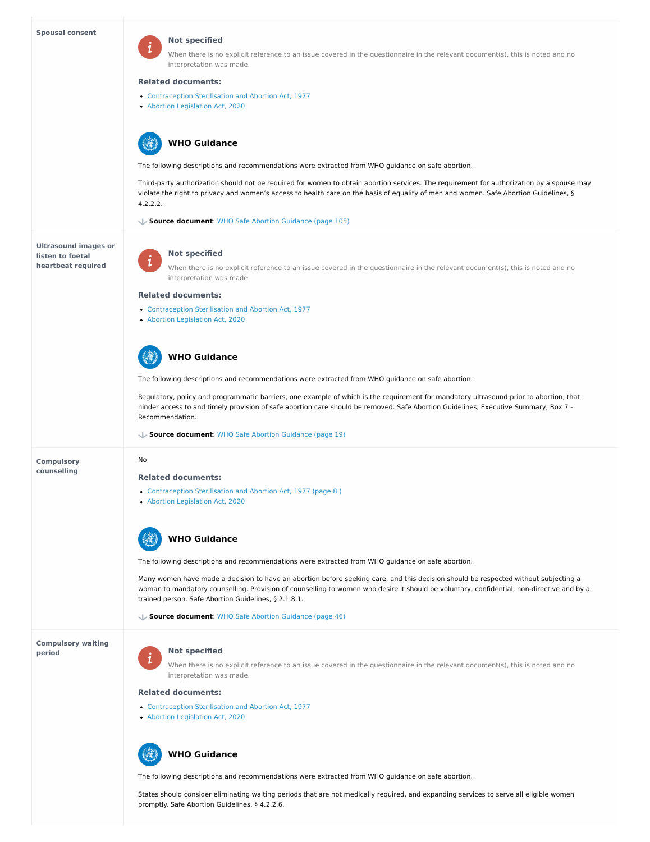#### **Spousal consent**

**Ultrasound images or listen to foetal heartbeat required**

#### **Compulsory counselling**

**Compulsory waiting period**



#### **Not specified**

- [Contraception](https://abortion-policies.srhr.org/documents/countries/02-New-Zealand-Contraception-Sterilisation-and-Abortion-Act-1977.pdf) Sterilisation and Abortion Act, 1977
- Abortion [Legislation](https://abortion-policies.srhr.org/documents/countries/05-New-Zealand-Abortion-Legislation-Act-2020.pdf) Act, 2020

When there is no explicit reference to an issue covered in the questionnaire in the relevant document(s), this is noted and no interpretation was made.

#### **Related documents:**

 $\mathbf{i}$ 

The following descriptions and recommendations were extracted from WHO guidance on safe abortion.

- [Contraception](https://abortion-policies.srhr.org/documents/countries/02-New-Zealand-Contraception-Sterilisation-and-Abortion-Act-1977.pdf) Sterilisation and Abortion Act, 1977
- Abortion [Legislation](https://abortion-policies.srhr.org/documents/countries/05-New-Zealand-Abortion-Legislation-Act-2020.pdf) Act, 2020

Third-party authorization should not be required for women to obtain abortion services. The requirement for authorization by a spouse may violate the right to privacy and women's access to health care on the basis of equality of men and women. Safe Abortion Guidelines, § 4.2.2.2.

- [Contraception](https://abortion-policies.srhr.org/documents/countries/02-New-Zealand-Contraception-Sterilisation-and-Abortion-Act-1977.pdf#page=8
) Sterilisation and Abortion Act, 1977 (page 8 )
- Abortion [Legislation](https://abortion-policies.srhr.org/documents/countries/05-New-Zealand-Abortion-Legislation-Act-2020.PDF#PAGE=6) Act, 2020

# **WHO Guidance**

**Source document**: WHO Safe Abortion [Guidance](https://abortion-policies.srhr.org/documents/reference/WHO-Safe-Abortion-Guidance-2012.pdf#page=105) (page 105)

### **Not specified**

 $\mathbf 1$ 

When there is no explicit reference to an issue covered in the questionnaire in the relevant document(s), this is noted and no interpretation was made.

#### **Related documents:**

The following descriptions and recommendations were extracted from WHO guidance on safe abortion.

When there is no explicit reference to an issue covered in the questionnaire in the relevant document(s), this is noted and no interpretation was made.

- [Contraception](https://abortion-policies.srhr.org/documents/countries/02-New-Zealand-Contraception-Sterilisation-and-Abortion-Act-1977.pdf) Sterilisation and Abortion Act, 1977
- Abortion [Legislation](https://abortion-policies.srhr.org/documents/countries/05-New-Zealand-Abortion-Legislation-Act-2020.pdf) Act, 2020

Regulatory, policy and programmatic barriers, one example of which is the requirement for mandatory ultrasound prior to abortion, that hinder access to and timely provision of safe abortion care should be removed. Safe Abortion Guidelines, Executive Summary, Box 7 - Recommendation.

# **WHO Guidance**

**Source document**: WHO Safe Abortion [Guidance](https://abortion-policies.srhr.org/documents/reference/WHO-Safe-Abortion-Guidance-2012.pdf#page=19) (page 19)

No

#### **Related documents:**

The following descriptions and recommendations were extracted from WHO guidance on safe abortion.

Many women have made a decision to have an abortion before seeking care, and this decision should be respected without subjecting a woman to mandatory counselling. Provision of counselling to women who desire it should be voluntary, confidential, non-directive and by a trained person. Safe Abortion Guidelines, § 2.1.8.1.

# **WHO Guidance**



**Source document**: WHO Safe Abortion [Guidance](https://abortion-policies.srhr.org/documents/reference/WHO-Safe-Abortion-Guidance-2012.pdf#page=46) (page 46)

#### **Not specified**

#### **Related documents:**

The following descriptions and recommendations were extracted from WHO guidance on safe abortion.

States should consider eliminating waiting periods that are not medically required, and expanding services to serve all eligible women promptly. Safe Abortion Guidelines, § 4.2.2.6.

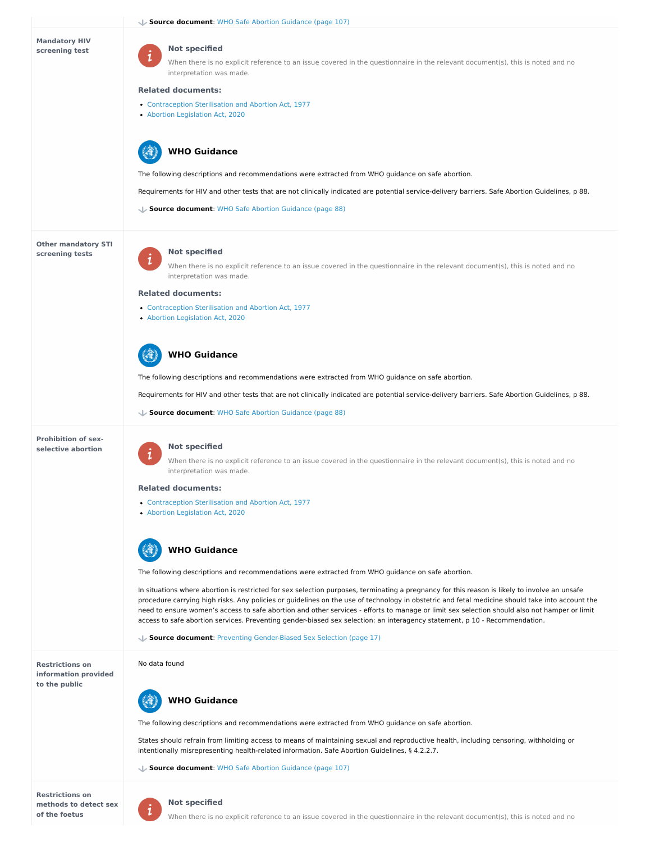**Mandatory HIV screening test**

**Other mandatory STI screening tests**

**Prohibition of sexselective abortion**

**Restrictions on methods to detect sex of the foetus**



When there is no explicit reference to an issue covered in the questionnaire in the relevant document(s), this is noted and no interpretation was made.

- [Contraception](https://abortion-policies.srhr.org/documents/countries/02-New-Zealand-Contraception-Sterilisation-and-Abortion-Act-1977.pdf) Sterilisation and Abortion Act, 1977
- Abortion [Legislation](https://abortion-policies.srhr.org/documents/countries/05-New-Zealand-Abortion-Legislation-Act-2020.pdf) Act, 2020

#### **Not specified**

#### **Related documents:**

 $\mathbf 1$ 

- [Contraception](https://abortion-policies.srhr.org/documents/countries/02-New-Zealand-Contraception-Sterilisation-and-Abortion-Act-1977.pdf) Sterilisation and Abortion Act, 1977
- Abortion [Legislation](https://abortion-policies.srhr.org/documents/countries/05-New-Zealand-Abortion-Legislation-Act-2020.pdf) Act, 2020

The following descriptions and recommendations were extracted from WHO guidance on safe abortion.

Requirements for HIV and other tests that are not clinically indicated are potential service-delivery barriers. Safe Abortion Guidelines, p 88.

# **WHO Guidance**

- [Contraception](https://abortion-policies.srhr.org/documents/countries/02-New-Zealand-Contraception-Sterilisation-and-Abortion-Act-1977.pdf) Sterilisation and Abortion Act, 1977
- Abortion [Legislation](https://abortion-policies.srhr.org/documents/countries/05-New-Zealand-Abortion-Legislation-Act-2020.pdf) Act, 2020



**Source document**: WHO Safe Abortion [Guidance](https://abortion-policies.srhr.org/documents/reference/WHO-Safe-Abortion-Guidance-2012.pdf#page=88) (page 88)

#### **Not specified**

When there is no explicit reference to an issue covered in the questionnaire in the relevant document(s), this is noted and no interpretation was made.

#### **Related documents:**

 $\mathbf{z}$ 

The following descriptions and recommendations were extracted from WHO guidance on safe abortion.

Requirements for HIV and other tests that are not clinically indicated are potential service-delivery barriers. Safe Abortion Guidelines, p 88.

# **WHO Guidance**

**Source document**: WHO Safe Abortion [Guidance](https://abortion-policies.srhr.org/documents/reference/WHO-Safe-Abortion-Guidance-2012.pdf#page=88) (page 88)

#### **Not specified**

**Restrictions on information provided to the public** In situations where abortion is restricted for sex selection purposes, terminating a pregnancy for this reason is likely to involve an unsafe procedure carrying high risks. Any policies or guidelines on the use of technology in obstetric and fetal medicine should take into account the need to ensure women's access to safe abortion and other services - efforts to manage or limit sex selection should also not hamper or limit access to safe abortion services. Preventing gender-biased sex selection: an interagency statement, p 10 - Recommendation. **Source document**: Preventing [Gender-Biased](https://abortion-policies.srhr.org/documents/reference/WHO-and-other-Interagency-statement-gender-biased-sex-selection-2011.pdf#page=17) Sex Selection (page 17) No data found The following descriptions and recommendations were extracted from WHO guidance on safe abortion. States should refrain from limiting access to means of maintaining sexual and reproductive health, including censoring, withholding or intentionally misrepresenting health-related information. Safe Abortion Guidelines, § 4.2.2.7. **Source document**: WHO Safe Abortion [Guidance](https://abortion-policies.srhr.org/documents/reference/WHO-Safe-Abortion-Guidance-2012.pdf#page=107) (page 107) **WHO Guidance**

When there is no explicit reference to an issue covered in the questionnaire in the relevant document(s), this is noted and no interpretation was made.

#### **Related documents:**

The following descriptions and recommendations were extracted from WHO guidance on safe abortion.



#### **Not specified**

When there is no explicit reference to an issue covered in the questionnaire in the relevant document(s), this is noted and no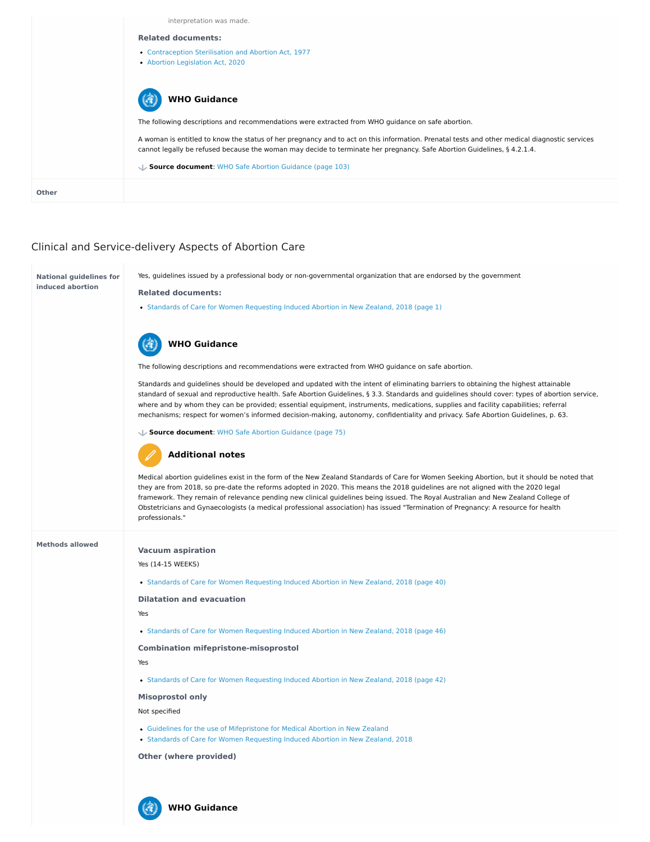# Clinical and Service-delivery Aspects of Abortion Care

|              | interpretation was made.                                                                                                                                                                                                                                                |
|--------------|-------------------------------------------------------------------------------------------------------------------------------------------------------------------------------------------------------------------------------------------------------------------------|
|              | <b>Related documents:</b>                                                                                                                                                                                                                                               |
|              | • Contraception Sterilisation and Abortion Act, 1977<br>• Abortion Legislation Act, 2020                                                                                                                                                                                |
|              | <b>WHO Guidance</b>                                                                                                                                                                                                                                                     |
|              | The following descriptions and recommendations were extracted from WHO guidance on safe abortion.                                                                                                                                                                       |
|              | A woman is entitled to know the status of her pregnancy and to act on this information. Prenatal tests and other medical diagnostic services<br>cannot legally be refused because the woman may decide to terminate her pregnancy. Safe Abortion Guidelines, § 4.2.1.4. |
|              | Source document: WHO Safe Abortion Guidance (page 103)                                                                                                                                                                                                                  |
| <b>Other</b> |                                                                                                                                                                                                                                                                         |

**Methods allowed**

#### **National guidelines for induced abortion** Yes, guidelines issued by a professional body or non-governmental organization that are endorsed by the government **Related documents:**

• Standards of Care for Women [Requesting](https://abortion-policies.srhr.org/documents/countries/12-New-Zealand-Standards-Care-Guidelines-Abortion-2018.pdf#page=1) Induced Abortion in New Zealand, 2018 (page 1)

The following descriptions and recommendations were extracted from WHO guidance on safe abortion.

Standards and guidelines should be developed and updated with the intent of eliminating barriers to obtaining the highest attainable standard of sexual and reproductive health. Safe Abortion Guidelines, § 3.3. Standards and guidelines should cover: types of abortion service, where and by whom they can be provided; essential equipment, instruments, medications, supplies and facility capabilities; referral mechanisms; respect for women's informed decision-making, autonomy, confidentiality and privacy. Safe Abortion Guidelines, p. 63.

# **WHO Guidance**

**Source document**: WHO Safe Abortion [Guidance](https://abortion-policies.srhr.org/documents/reference/WHO-Safe-Abortion-Guidance-2012.pdf#page=75) (page 75)

Medical abortion guidelines exist in the form of the New Zealand Standards of Care for Women Seeking Abortion, but it should be noted that they are from 2018, so pre-date the reforms adopted in 2020. This means the 2018 guidelines are not aligned with the 2020 legal framework. They remain of relevance pending new clinical guidelines being issued. The Royal Australian and New Zealand College of Obstetricians and Gynaecologists (a medical professional association) has issued "Termination of Pregnancy: A resource for health professionals."

# **Additional notes**

**Vacuum aspiration**

Yes (14-15 WEEKS)

• Standards of Care for Women [Requesting](https://abortion-policies.srhr.org/documents/countries/12-New-Zealand-Standards-Care-Guidelines-Abortion-2018.pdf#page=40) Induced Abortion in New Zealand, 2018 (page 40)

**Dilatation and evacuation**

Yes

**Combination mifepristone-misoprostol**

Yes

• Standards of Care for Women [Requesting](https://abortion-policies.srhr.org/documents/countries/12-New-Zealand-Standards-Care-Guidelines-Abortion-2018.pdf#page=42) Induced Abortion in New Zealand, 2018 (page 42)

**Misoprostol only**

Not specified

**Other (where provided)**

Standards of Care for Women [Requesting](https://abortion-policies.srhr.org/documents/countries/12-New-Zealand-Standards-Care-Guidelines-Abortion-2018.pdf#page=46) Induced Abortion in New Zealand, 2018 (page 46)

- Guidelines for the use of [Mifepristone](https://abortion-policies.srhr.org/documents/countries/04-New-Zealand-Guidelines-for-Use-of-Mifepristone.pdf) for Medical Abortion in New Zealand
- Standards of Care for Women [Requesting](https://abortion-policies.srhr.org/documents/countries/12-New-Zealand-Standards-Care-Guidelines-Abortion-2018.pdf) Induced Abortion in New Zealand, 2018

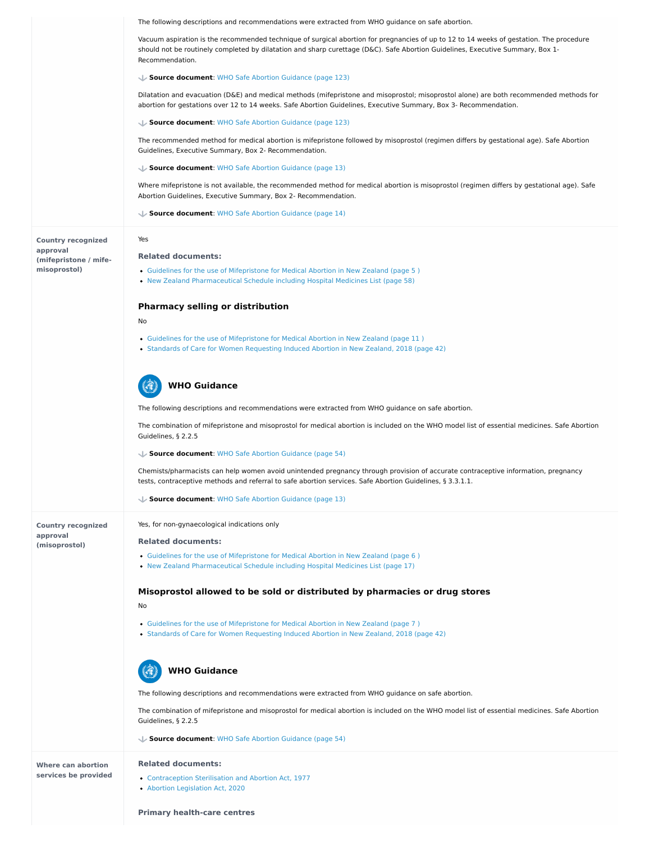**approval**

#### **(misoprostol)**

**Where can abortion services be provided**

|                                       | The following descriptions and recommendations were extracted from WHO guidance on safe abortion.                                                                                                                                                                                            |
|---------------------------------------|----------------------------------------------------------------------------------------------------------------------------------------------------------------------------------------------------------------------------------------------------------------------------------------------|
|                                       | Vacuum aspiration is the recommended technique of surgical abortion for pregnancies of up to 12 to 14 weeks of gestation. The procedure<br>should not be routinely completed by dilatation and sharp curettage (D&C). Safe Abortion Guidelines, Executive Summary, Box 1-<br>Recommendation. |
|                                       | Source document: WHO Safe Abortion Guidance (page 123)                                                                                                                                                                                                                                       |
|                                       | Dilatation and evacuation (D&E) and medical methods (mifepristone and misoprostol; misoprostol alone) are both recommended methods for<br>abortion for gestations over 12 to 14 weeks. Safe Abortion Guidelines, Executive Summary, Box 3- Recommendation.                                   |
|                                       | Source document: WHO Safe Abortion Guidance (page 123)                                                                                                                                                                                                                                       |
|                                       | The recommended method for medical abortion is mifepristone followed by misoprostol (regimen differs by gestational age). Safe Abortion<br>Guidelines, Executive Summary, Box 2- Recommendation.                                                                                             |
|                                       | Source document: WHO Safe Abortion Guidance (page 13)                                                                                                                                                                                                                                        |
|                                       | Where mifepristone is not available, the recommended method for medical abortion is misoprostol (regimen differs by gestational age). Safe<br>Abortion Guidelines, Executive Summary, Box 2- Recommendation.                                                                                 |
|                                       | Source document: WHO Safe Abortion Guidance (page 14)                                                                                                                                                                                                                                        |
| <b>Country recognized</b><br>approval | Yes                                                                                                                                                                                                                                                                                          |
| (mifepristone / mife-                 | <b>Related documents:</b>                                                                                                                                                                                                                                                                    |
| misoprostol)                          | • Guidelines for the use of Mifepristone for Medical Abortion in New Zealand (page 5)<br>• New Zealand Pharmaceutical Schedule including Hospital Medicines List (page 58)                                                                                                                   |
|                                       | <b>Pharmacy selling or distribution</b>                                                                                                                                                                                                                                                      |
|                                       | No                                                                                                                                                                                                                                                                                           |
|                                       | • Guidelines for the use of Mifepristone for Medical Abortion in New Zealand (page 11)<br>• Standards of Care for Women Requesting Induced Abortion in New Zealand, 2018 (page 42)                                                                                                           |
|                                       | <b>WHO Guidance</b>                                                                                                                                                                                                                                                                          |
|                                       | The following descriptions and recommendations were extracted from WHO guidance on safe abortion.                                                                                                                                                                                            |
|                                       | The combination of mifepristone and misoprostol for medical abortion is included on the WHO model list of essential medicines. Safe Abortion<br>Guidelines, § 2.2.5                                                                                                                          |
|                                       | Source document: WHO Safe Abortion Guidance (page 54)                                                                                                                                                                                                                                        |
|                                       | Chemists/pharmacists can help women avoid unintended pregnancy through provision of accurate contraceptive information, pregnancy<br>tests, contraceptive methods and referral to safe abortion services. Safe Abortion Guidelines, § 3.3.1.1.                                               |
|                                       | Source document: WHO Safe Abortion Guidance (page 13)                                                                                                                                                                                                                                        |
| <b>Country recognized</b>             | Yes, for non-gynaecological indications only                                                                                                                                                                                                                                                 |

#### **Related documents:**

- Guidelines for the use of [Mifepristone](https://abortion-policies.srhr.org/documents/countries/04-New-Zealand-Guidelines-for-Use-of-Mifepristone.pdf#page=6
) for Medical Abortion in New Zealand (page 6 )
- New Zealand [Pharmaceutical](https://abortion-policies.srhr.org/documents/countries/06-New-Zealand-Pharmaceutical-Schedule-Section-H-for-Hospital-Pharmaceuticals-including-Hospital-Medicines-List-Pharmaceutical-Medicines-Agency-2015.pdf#page=17) Schedule including Hospital Medicines List (page 17)

### **Misoprostol allowed to be sold or distributed by pharmacies or drug stores**

No

- Guidelines for the use of [Mifepristone](https://abortion-policies.srhr.org/documents/countries/04-New-Zealand-Guidelines-for-Use-of-Mifepristone.pdf#page=7
) for Medical Abortion in New Zealand (page 7 )
- Standards of Care for Women [Requesting](https://abortion-policies.srhr.org/documents/countries/12-New-Zealand-Standards-Care-Guidelines-Abortion-2018.pdf#page=42) Induced Abortion in New Zealand, 2018 (page 42)

The following descriptions and recommendations were extracted from WHO guidance on safe abortion.

The combination of mifepristone and misoprostol for medical abortion is included on the WHO model list of essential medicines. Safe Abortion Guidelines, § 2.2.5



**Source document**: WHO Safe Abortion [Guidance](https://abortion-policies.srhr.org/documents/reference/WHO-Safe-Abortion-Guidance-2012.pdf#page=54) (page 54)

#### **Related documents:**

- [Contraception](https://abortion-policies.srhr.org/documents/countries/02-New-Zealand-Contraception-Sterilisation-and-Abortion-Act-1977.pdf) Sterilisation and Abortion Act, 1977
- Abortion [Legislation](https://abortion-policies.srhr.org/documents/countries/05-New-Zealand-Abortion-Legislation-Act-2020.pdf) Act, 2020

**Primary health-care centres**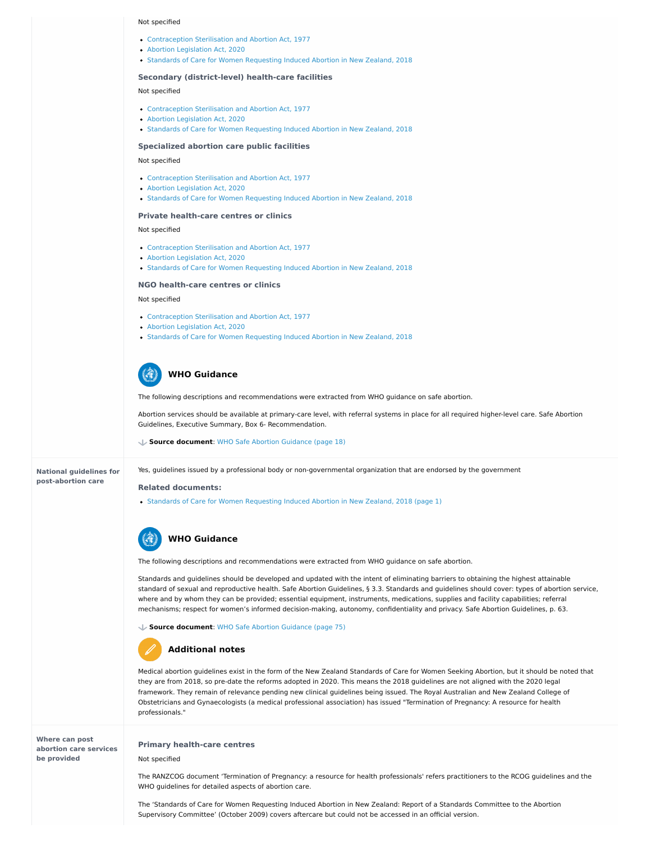#### **National guidelines for post-abortion care**

**Where can post abortion care services be provided**

#### Not specified

#### **Secondary (district-level) health-care facilities**

#### Not specified

#### **Specialized abortion care public facilities**

#### Not specified

#### **Private health-care centres or clinics**

#### Not specified

#### **NGO health-care centres or clinics**

#### Not specified

- [Contraception](https://abortion-policies.srhr.org/documents/countries/02-New-Zealand-Contraception-Sterilisation-and-Abortion-Act-1977.pdf) Sterilisation and Abortion Act, 1977
- Abortion [Legislation](https://abortion-policies.srhr.org/documents/countries/05-New-Zealand-Abortion-Legislation-Act-2020.pdf) Act, 2020
- Standards of Care for Women [Requesting](https://abortion-policies.srhr.org/documents/countries/12-New-Zealand-Standards-Care-Guidelines-Abortion-2018.pdf) Induced Abortion in New Zealand, 2018

- [Contraception](https://abortion-policies.srhr.org/documents/countries/02-New-Zealand-Contraception-Sterilisation-and-Abortion-Act-1977.pdf) Sterilisation and Abortion Act, 1977
- Abortion [Legislation](https://abortion-policies.srhr.org/documents/countries/05-New-Zealand-Abortion-Legislation-Act-2020.pdf) Act, 2020
- Standards of Care for Women [Requesting](https://abortion-policies.srhr.org/documents/countries/12-New-Zealand-Standards-Care-Guidelines-Abortion-2018.pdf) Induced Abortion in New Zealand, 2018
- [Contraception](https://abortion-policies.srhr.org/documents/countries/02-New-Zealand-Contraception-Sterilisation-and-Abortion-Act-1977.pdf) Sterilisation and Abortion Act, 1977
- Abortion [Legislation](https://abortion-policies.srhr.org/documents/countries/05-New-Zealand-Abortion-Legislation-Act-2020.pdf) Act, 2020
- Standards of Care for Women [Requesting](https://abortion-policies.srhr.org/documents/countries/12-New-Zealand-Standards-Care-Guidelines-Abortion-2018.pdf) Induced Abortion in New Zealand, 2018

- [Contraception](https://abortion-policies.srhr.org/documents/countries/02-New-Zealand-Contraception-Sterilisation-and-Abortion-Act-1977.pdf) Sterilisation and Abortion Act, 1977
- Abortion [Legislation](https://abortion-policies.srhr.org/documents/countries/05-New-Zealand-Abortion-Legislation-Act-2020.pdf) Act, 2020
- Standards of Care for Women [Requesting](https://abortion-policies.srhr.org/documents/countries/12-New-Zealand-Standards-Care-Guidelines-Abortion-2018.pdf) Induced Abortion in New Zealand, 2018

- [Contraception](https://abortion-policies.srhr.org/documents/countries/02-New-Zealand-Contraception-Sterilisation-and-Abortion-Act-1977.pdf) Sterilisation and Abortion Act, 1977
- Abortion [Legislation](https://abortion-policies.srhr.org/documents/countries/05-New-Zealand-Abortion-Legislation-Act-2020.pdf) Act, 2020
- Standards of Care for Women [Requesting](https://abortion-policies.srhr.org/documents/countries/12-New-Zealand-Standards-Care-Guidelines-Abortion-2018.pdf) Induced Abortion in New Zealand, 2018

The following descriptions and recommendations were extracted from WHO guidance on safe abortion.

Abortion services should be available at primary-care level, with referral systems in place for all required higher-level care. Safe Abortion Guidelines, Executive Summary, Box 6- Recommendation.

# **WHO Guidance**

**Source document**: WHO Safe Abortion [Guidance](https://abortion-policies.srhr.org/documents/reference/WHO-Safe-Abortion-Guidance-2012.pdf#page=18) (page 18)

Yes, guidelines issued by a professional body or non-governmental organization that are endorsed by the government

#### **Related documents:**

• Standards of Care for Women [Requesting](https://abortion-policies.srhr.org/documents/countries/12-New-Zealand-Standards-Care-Guidelines-Abortion-2018.pdf#page=1) Induced Abortion in New Zealand, 2018 (page 1)



The following descriptions and recommendations were extracted from WHO guidance on safe abortion.

Standards and guidelines should be developed and updated with the intent of eliminating barriers to obtaining the highest attainable standard of sexual and reproductive health. Safe Abortion Guidelines, § 3.3. Standards and guidelines should cover: types of abortion service, where and by whom they can be provided; essential equipment, instruments, medications, supplies and facility capabilities; referral mechanisms; respect for women's informed decision-making, autonomy, confidentiality and privacy. Safe Abortion Guidelines, p. 63.

#### **WHO Guidance**



**Source document**: WHO Safe Abortion [Guidance](https://abortion-policies.srhr.org/documents/reference/WHO-Safe-Abortion-Guidance-2012.pdf#page=75) (page 75)



Medical abortion guidelines exist in the form of the New Zealand Standards of Care for Women Seeking Abortion, but it should be noted that they are from 2018, so pre-date the reforms adopted in 2020. This means the 2018 guidelines are not aligned with the 2020 legal framework. They remain of relevance pending new clinical guidelines being issued. The Royal Australian and New Zealand College of Obstetricians and Gynaecologists (a medical professional association) has issued "Termination of Pregnancy: A resource for health professionals."

### **Additional notes**

#### **Primary health-care centres**

Not specified

The RANZCOG document 'Termination of Pregnancy: a resource for health professionals' refers practitioners to the RCOG guidelines and the WHO guidelines for detailed aspects of abortion care.

The 'Standards of Care for Women Requesting Induced Abortion in New Zealand: Report of a Standards Committee to the Abortion Supervisory Committee' (October 2009) covers aftercare but could not be accessed in an official version.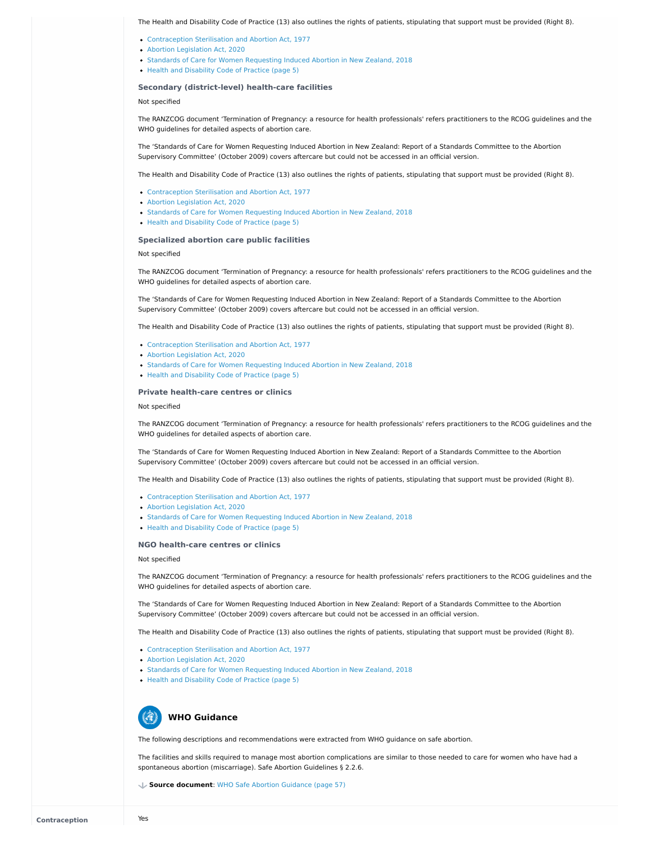#### **Secondary (district-level) health-care facilities**

Not specified

#### **Specialized abortion care public facilities**

#### Not specified

#### **Private health-care centres or clinics**

#### Not specified

- [Contraception](https://abortion-policies.srhr.org/documents/countries/02-New-Zealand-Contraception-Sterilisation-and-Abortion-Act-1977.pdf) Sterilisation and Abortion Act, 1977
- Abortion [Legislation](https://abortion-policies.srhr.org/documents/countries/05-New-Zealand-Abortion-Legislation-Act-2020.pdf) Act, 2020
- Standards of Care for Women [Requesting](https://abortion-policies.srhr.org/documents/countries/12-New-Zealand-Standards-Care-Guidelines-Abortion-2018.pdf) Induced Abortion in New Zealand, 2018
- Health and [Disability](https://abortion-policies.srhr.org/documents/countries/13-New-Zealand-Code-of-Rights-Health-and-Disability-Commissioner.pdf#page=5) Code of Practice (page 5)

#### **NGO health-care centres or clinics**

Not specified

The Health and Disability Code of Practice (13) also outlines the rights of patients, stipulating that support must be provided (Right 8).

The RANZCOG document 'Termination of Pregnancy: a resource for health professionals' refers practitioners to the RCOG guidelines and the WHO guidelines for detailed aspects of abortion care.

The 'Standards of Care for Women Requesting Induced Abortion in New Zealand: Report of a Standards Committee to the Abortion Supervisory Committee' (October 2009) covers aftercare but could not be accessed in an official version.

The Health and Disability Code of Practice (13) also outlines the rights of patients, stipulating that support must be provided (Right 8).

- [Contraception](https://abortion-policies.srhr.org/documents/countries/02-New-Zealand-Contraception-Sterilisation-and-Abortion-Act-1977.pdf) Sterilisation and Abortion Act, 1977
- Abortion [Legislation](https://abortion-policies.srhr.org/documents/countries/05-New-Zealand-Abortion-Legislation-Act-2020.pdf) Act, 2020
- Standards of Care for Women [Requesting](https://abortion-policies.srhr.org/documents/countries/12-New-Zealand-Standards-Care-Guidelines-Abortion-2018.pdf) Induced Abortion in New Zealand, 2018
- Health and [Disability](https://abortion-policies.srhr.org/documents/countries/13-New-Zealand-Code-of-Rights-Health-and-Disability-Commissioner.pdf#page=5) Code of Practice (page 5)

- [Contraception](https://abortion-policies.srhr.org/documents/countries/02-New-Zealand-Contraception-Sterilisation-and-Abortion-Act-1977.pdf) Sterilisation and Abortion Act, 1977
- Abortion [Legislation](https://abortion-policies.srhr.org/documents/countries/05-New-Zealand-Abortion-Legislation-Act-2020.pdf) Act, 2020
- Standards of Care for Women [Requesting](https://abortion-policies.srhr.org/documents/countries/12-New-Zealand-Standards-Care-Guidelines-Abortion-2018.pdf) Induced Abortion in New Zealand, 2018
- Health and [Disability](https://abortion-policies.srhr.org/documents/countries/13-New-Zealand-Code-of-Rights-Health-and-Disability-Commissioner.pdf#page=5) Code of Practice (page 5)

The RANZCOG document 'Termination of Pregnancy: a resource for health professionals' refers practitioners to the RCOG guidelines and the WHO guidelines for detailed aspects of abortion care.

The 'Standards of Care for Women Requesting Induced Abortion in New Zealand: Report of a Standards Committee to the Abortion Supervisory Committee' (October 2009) covers aftercare but could not be accessed in an official version.

- [Contraception](https://abortion-policies.srhr.org/documents/countries/02-New-Zealand-Contraception-Sterilisation-and-Abortion-Act-1977.pdf) Sterilisation and Abortion Act, 1977
- Abortion [Legislation](https://abortion-policies.srhr.org/documents/countries/05-New-Zealand-Abortion-Legislation-Act-2020.pdf) Act, 2020
- Standards of Care for Women [Requesting](https://abortion-policies.srhr.org/documents/countries/12-New-Zealand-Standards-Care-Guidelines-Abortion-2018.pdf) Induced Abortion in New Zealand, 2018
- Health and [Disability](https://abortion-policies.srhr.org/documents/countries/13-New-Zealand-Code-of-Rights-Health-and-Disability-Commissioner.pdf#page=5) Code of Practice (page 5)



The Health and Disability Code of Practice (13) also outlines the rights of patients, stipulating that support must be provided (Right 8).

- [Contraception](https://abortion-policies.srhr.org/documents/countries/02-New-Zealand-Contraception-Sterilisation-and-Abortion-Act-1977.pdf) Sterilisation and Abortion Act, 1977
- Abortion [Legislation](https://abortion-policies.srhr.org/documents/countries/05-New-Zealand-Abortion-Legislation-Act-2020.pdf) Act, 2020
- Standards of Care for Women [Requesting](https://abortion-policies.srhr.org/documents/countries/12-New-Zealand-Standards-Care-Guidelines-Abortion-2018.pdf) Induced Abortion in New Zealand, 2018
- Health and [Disability](https://abortion-policies.srhr.org/documents/countries/13-New-Zealand-Code-of-Rights-Health-and-Disability-Commissioner.pdf#page=5) Code of Practice (page 5)

The RANZCOG document 'Termination of Pregnancy: a resource for health professionals' refers practitioners to the RCOG guidelines and the WHO guidelines for detailed aspects of abortion care.

The 'Standards of Care for Women Requesting Induced Abortion in New Zealand: Report of a Standards Committee to the Abortion Supervisory Committee' (October 2009) covers aftercare but could not be accessed in an official version.

The Health and Disability Code of Practice (13) also outlines the rights of patients, stipulating that support must be provided (Right 8).

The RANZCOG document 'Termination of Pregnancy: a resource for health professionals' refers practitioners to the RCOG guidelines and the WHO guidelines for detailed aspects of abortion care.

The 'Standards of Care for Women Requesting Induced Abortion in New Zealand: Report of a Standards Committee to the Abortion Supervisory Committee' (October 2009) covers aftercare but could not be accessed in an official version.

The Health and Disability Code of Practice (13) also outlines the rights of patients, stipulating that support must be provided (Right 8).

The following descriptions and recommendations were extracted from WHO guidance on safe abortion.

The facilities and skills required to manage most abortion complications are similar to those needed to care for women who have had a spontaneous abortion (miscarriage). Safe Abortion Guidelines § 2.2.6.

## **WHO Guidance**

**Source document**: WHO Safe Abortion [Guidance](https://abortion-policies.srhr.org/documents/reference/WHO-Safe-Abortion-Guidance-2012.pdf#page=57) (page 57)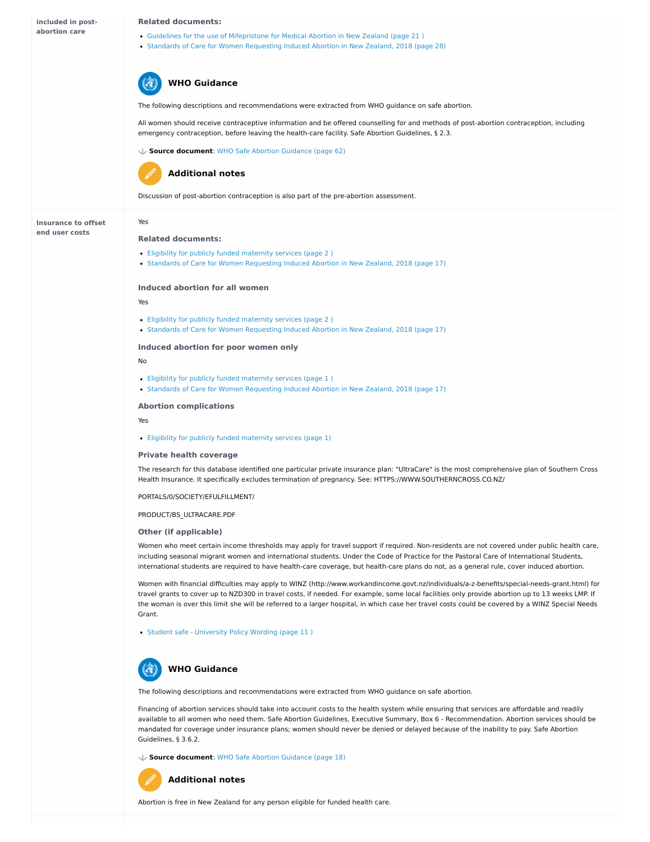**Other (if applicable)**

| included in post-          | <b>Related documents:</b>                                                                                                                                                                                                                                   |
|----------------------------|-------------------------------------------------------------------------------------------------------------------------------------------------------------------------------------------------------------------------------------------------------------|
| abortion care              | • Guidelines for the use of Mifepristone for Medical Abortion in New Zealand (page 21)<br>• Standards of Care for Women Requesting Induced Abortion in New Zealand, 2018 (page 28)                                                                          |
|                            | <b>WHO Guidance</b>                                                                                                                                                                                                                                         |
|                            | The following descriptions and recommendations were extracted from WHO guidance on safe abortion.                                                                                                                                                           |
|                            | All women should receive contraceptive information and be offered counselling for and methods of post-abortion contraception, including<br>emergency contraception, before leaving the health-care facility. Safe Abortion Guidelines, § 2.3.               |
|                            | Source document: WHO Safe Abortion Guidance (page 62)                                                                                                                                                                                                       |
|                            | <b>Additional notes</b>                                                                                                                                                                                                                                     |
|                            | Discussion of post-abortion contraception is also part of the pre-abortion assessment.                                                                                                                                                                      |
| <b>Insurance to offset</b> | Yes                                                                                                                                                                                                                                                         |
| end user costs             | <b>Related documents:</b>                                                                                                                                                                                                                                   |
|                            | • Eligibility for publicly funded maternity services (page 2)<br>• Standards of Care for Women Requesting Induced Abortion in New Zealand, 2018 (page 17)                                                                                                   |
|                            | <b>Induced abortion for all women</b>                                                                                                                                                                                                                       |
|                            | Yes                                                                                                                                                                                                                                                         |
|                            | • Eligibility for publicly funded maternity services (page 2)<br>• Standards of Care for Women Requesting Induced Abortion in New Zealand, 2018 (page 17)                                                                                                   |
|                            | Induced abortion for poor women only                                                                                                                                                                                                                        |
|                            | No                                                                                                                                                                                                                                                          |
|                            | • Eligibility for publicly funded maternity services (page 1)<br>• Standards of Care for Women Requesting Induced Abortion in New Zealand, 2018 (page 17)                                                                                                   |
|                            | <b>Abortion complications</b>                                                                                                                                                                                                                               |
|                            | Yes                                                                                                                                                                                                                                                         |
|                            | • Eligibility for publicly funded maternity services (page 1)                                                                                                                                                                                               |
|                            | <b>Private health coverage</b>                                                                                                                                                                                                                              |
|                            | The research for this database identified one particular private insurance plan: "UltraCare" is the most comprehensive plan of Southern Cross<br>Health Insurance. It specifically excludes termination of pregnancy. See: HTTPS://WWW.SOUTHERNCROSS.CO.NZ/ |
|                            | PORTALS/0/SOCIETY/EFULFILLMENT/                                                                                                                                                                                                                             |
|                            | PRODUCT/BS ULTRACARE.PDF                                                                                                                                                                                                                                    |

Women who meet certain income thresholds may apply for travel support if required. Non-residents are not covered under public health care, including seasonal migrant women and international students. Under the Code of Practice for the Pastoral Care of International Students, international students are required to have health-care coverage, but health-care plans do not, as a general rule, cover induced abortion.

Women with financial difficulties may apply to WINZ (http://www.workandincome.govt.nz/individuals/a-z-benefits/special-needs-grant.html) for travel grants to cover up to NZD300 in travel costs, if needed. For example, some local facilities only provide abortion up to 13 weeks LMP. If the woman is over this limit she will be referred to a larger hospital, in which case her travel costs could be covered by a WINZ Special Needs Grant.

• Student safe - [University](https://abortion-policies.srhr.org/documents/countries/10-New-Zealand-Studentsafe-University-Policy-Allianz-2015.pdf#page=11
) Policy Wording (page 11)

The following descriptions and recommendations were extracted from WHO guidance on safe abortion.

Financing of abortion services should take into account costs to the health system while ensuring that services are affordable and readily available to all women who need them. Safe Abortion Guidelines, Executive Summary, Box 6 - Recommendation. Abortion services should be mandated for coverage under insurance plans; women should never be denied or delayed because of the inability to pay. Safe Abortion Guidelines, § 3.6.2.



**Source document**: WHO Safe Abortion [Guidance](https://abortion-policies.srhr.org/documents/reference/WHO-Safe-Abortion-Guidance-2012.pdf#page=18) (page 18)

Abortion is free in New Zealand for any person eligible for funded health care.

### **Additional notes**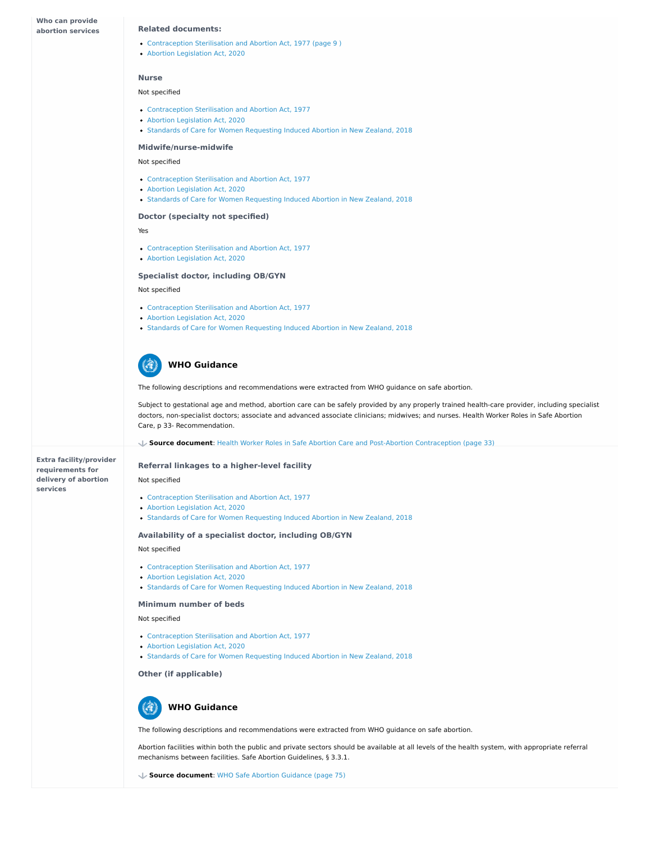- [Contraception](https://abortion-policies.srhr.org/documents/countries/02-New-Zealand-Contraception-Sterilisation-and-Abortion-Act-1977.pdf#page=9 
) Sterilisation and Abortion Act, 1977 (page 9 )
- Abortion [Legislation](https://abortion-policies.srhr.org/documents/countries/05-New-Zealand-Abortion-Legislation-Act-2020.PDF#PAGE=6) Act, 2020

**Extra facility/provider requirements for delivery of abortion services**

#### **Related documents:**

#### **Nurse**

#### Not specified

#### **Midwife/nurse-midwife**

#### Not specified

#### **Doctor (specialty not specified)**

#### Yes

#### **Specialist doctor, including OB/GYN**

- [Contraception](https://abortion-policies.srhr.org/documents/countries/02-New-Zealand-Contraception-Sterilisation-and-Abortion-Act-1977.PDF#PAGE=9 
) Sterilisation and Abortion Act, 1977
- Abortion [Legislation](https://abortion-policies.srhr.org/documents/countries/05-New-Zealand-Abortion-Legislation-Act-2020.PDF#PAGE=5) Act, 2020

#### Not specified

- [Contraception](https://abortion-policies.srhr.org/documents/countries/02-New-Zealand-Contraception-Sterilisation-and-Abortion-Act-1977.pdf) Sterilisation and Abortion Act, 1977
- Abortion [Legislation](https://abortion-policies.srhr.org/documents/countries/05-New-Zealand-Abortion-Legislation-Act-2020.pdf) Act, 2020
- Standards of Care for Women [Requesting](https://abortion-policies.srhr.org/documents/countries/12-New-Zealand-Standards-Care-Guidelines-Abortion-2018.pdf) Induced Abortion in New Zealand, 2018

- [Contraception](https://abortion-policies.srhr.org/documents/countries/02-New-Zealand-Contraception-Sterilisation-and-Abortion-Act-1977.pdf) Sterilisation and Abortion Act, 1977
- Abortion [Legislation](https://abortion-policies.srhr.org/documents/countries/05-New-Zealand-Abortion-Legislation-Act-2020.pdf) Act, 2020
- Standards of Care for Women [Requesting](https://abortion-policies.srhr.org/documents/countries/12-New-Zealand-Standards-Care-Guidelines-Abortion-2018.pdf) Induced Abortion in New Zealand, 2018

- [Contraception](https://abortion-policies.srhr.org/documents/countries/02-New-Zealand-Contraception-Sterilisation-and-Abortion-Act-1977.pdf) Sterilisation and Abortion Act, 1977
- Abortion [Legislation](https://abortion-policies.srhr.org/documents/countries/05-New-Zealand-Abortion-Legislation-Act-2020.pdf) Act, 2020
- Standards of Care for Women [Requesting](https://abortion-policies.srhr.org/documents/countries/12-New-Zealand-Standards-Care-Guidelines-Abortion-2018.pdf) Induced Abortion in New Zealand, 2018

The following descriptions and recommendations were extracted from WHO guidance on safe abortion.

Subject to gestational age and method, abortion care can be safely provided by any properly trained health-care provider, including specialist doctors, non-specialist doctors; associate and advanced associate clinicians; midwives; and nurses. Health Worker Roles in Safe Abortion Care, p 33- Recommendation.

# **WHO Guidance**

**Source document**: Health Worker Roles in Safe Abortion Care and Post-Abortion [Contraception](https://abortion-policies.srhr.org/documents/reference/Health-Worker-Roles-in-Safe-Abortion-Care-2015.pdf#page=33) (page 33)

#### **Referral linkages to a higher-level facility**

#### Not specified

#### **Availability of a specialist doctor, including OB/GYN**

#### Not specified

#### **Minimum number of beds**

#### Not specified

#### **Other (if applicable)**

- [Contraception](https://abortion-policies.srhr.org/documents/countries/02-New-Zealand-Contraception-Sterilisation-and-Abortion-Act-1977.pdf) Sterilisation and Abortion Act, 1977
- Abortion [Legislation](https://abortion-policies.srhr.org/documents/countries/05-New-Zealand-Abortion-Legislation-Act-2020.pdf) Act, 2020
- Standards of Care for Women [Requesting](https://abortion-policies.srhr.org/documents/countries/12-New-Zealand-Standards-Care-Guidelines-Abortion-2018.pdf) Induced Abortion in New Zealand, 2018

- [Contraception](https://abortion-policies.srhr.org/documents/countries/02-New-Zealand-Contraception-Sterilisation-and-Abortion-Act-1977.pdf) Sterilisation and Abortion Act, 1977
- Abortion [Legislation](https://abortion-policies.srhr.org/documents/countries/05-New-Zealand-Abortion-Legislation-Act-2020.pdf) Act, 2020
- Standards of Care for Women [Requesting](https://abortion-policies.srhr.org/documents/countries/12-New-Zealand-Standards-Care-Guidelines-Abortion-2018.pdf) Induced Abortion in New Zealand, 2018

- [Contraception](https://abortion-policies.srhr.org/documents/countries/02-New-Zealand-Contraception-Sterilisation-and-Abortion-Act-1977.pdf) Sterilisation and Abortion Act, 1977
- Abortion [Legislation](https://abortion-policies.srhr.org/documents/countries/05-New-Zealand-Abortion-Legislation-Act-2020.pdf) Act, 2020
- Standards of Care for Women [Requesting](https://abortion-policies.srhr.org/documents/countries/12-New-Zealand-Standards-Care-Guidelines-Abortion-2018.pdf) Induced Abortion in New Zealand, 2018

The following descriptions and recommendations were extracted from WHO guidance on safe abortion.

Abortion facilities within both the public and private sectors should be available at all levels of the health system, with appropriate referral mechanisms between facilities. Safe Abortion Guidelines, § 3.3.1.



**Source document**: WHO Safe Abortion [Guidance](https://abortion-policies.srhr.org/documents/reference/WHO-Safe-Abortion-Guidance-2012.pdf#page=75) (page 75)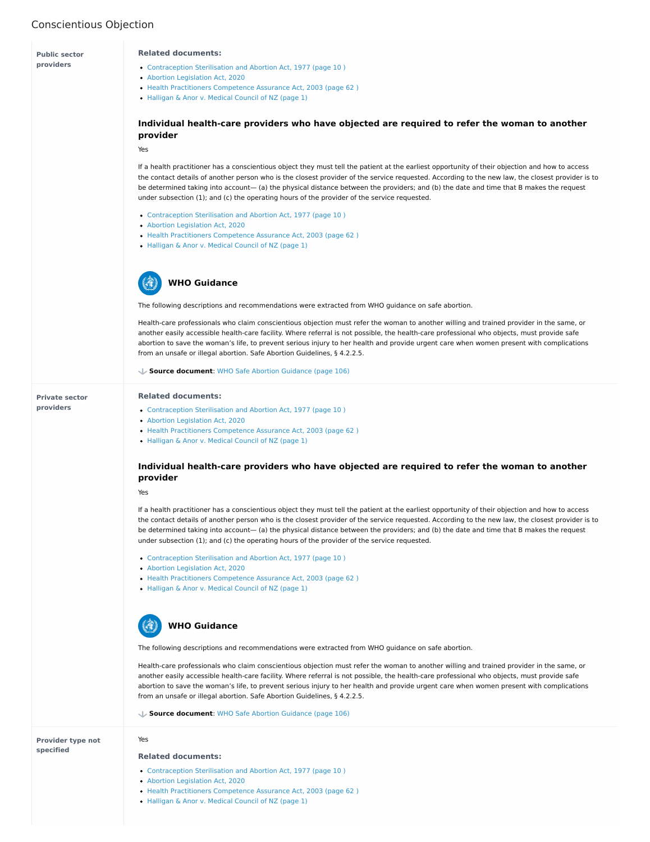# Conscientious Objection

**Provider type not specified**



- [Contraception](https://abortion-policies.srhr.org/documents/countries/02-New-Zealand-Contraception-Sterilisation-and-Abortion-Act-1977.pdf#page=10 
) Sterilisation and Abortion Act, 1977 (page 10 )
- Abortion [Legislation](https://abortion-policies.srhr.org/documents/countries/05-New-Zealand-Abortion-Legislation-Act-2020.PDF#PAGE=6 
) Act, 2020
- Health Practitioners [Competence](https://abortion-policies.srhr.org/documents/countries/09-New-Zealand-Health-Practitioners-Competence-Assurance-Act-2003.pdf#page=62 
) Assurance Act, 2003 (page 62 )
- [Halligan](https://abortion-policies.srhr.org/documents/countries/11-New-Zealand-Halligan-and-Anor-v-Medical-Council-of-NZ-High-Court-of-NZ-2010.pdf#page=1) & Anor v. Medical Council of NZ (page 1)

If a health practitioner has a conscientious object they must tell the patient at the earliest opportunity of their objection and how to access the contact details of another person who is the closest provider of the service requested. According to the new law, the closest provider is to be determined taking into account— (a) the physical distance between the providers; and (b) the date and time that B makes the request under subsection (1); and (c) the operating hours of the provider of the service requested.

The following descriptions and recommendations were extracted from WHO guidance on safe abortion.

Health-care professionals who claim conscientious objection must refer the woman to another willing and trained provider in the same, or another easily accessible health-care facility. Where referral is not possible, the health-care professional who objects, must provide safe abortion to save the woman's life, to prevent serious injury to her health and provide urgent care when women present with complications from an unsafe or illegal abortion. Safe Abortion Guidelines, § 4.2.2.5.

# **WHO Guidance**

**Source document**: WHO Safe Abortion [Guidance](https://abortion-policies.srhr.org/documents/reference/WHO-Safe-Abortion-Guidance-2012.pdf#page=106) (page 106)

Yes

#### **Related documents:**

- [Contraception](https://abortion-policies.srhr.org/documents/countries/02-New-Zealand-Contraception-Sterilisation-and-Abortion-Act-1977.pdf#page=10 
) Sterilisation and Abortion Act, 1977 (page 10 )
- Abortion [Legislation](https://abortion-policies.srhr.org/documents/countries/05-New-Zealand-Abortion-Legislation-Act-2020.PDF#PAGE=6 
) Act, 2020
- Health Practitioners [Competence](https://abortion-policies.srhr.org/documents/countries/09-New-Zealand-Health-Practitioners-Competence-Assurance-Act-2003.pdf#page=62 
) Assurance Act, 2003 (page 62)
- [Halligan](https://abortion-policies.srhr.org/documents/countries/11-New-Zealand-Halligan-and-Anor-v-Medical-Council-of-NZ-High-Court-of-NZ-2010.pdf#page=1) & Anor v. Medical Council of NZ (page 1)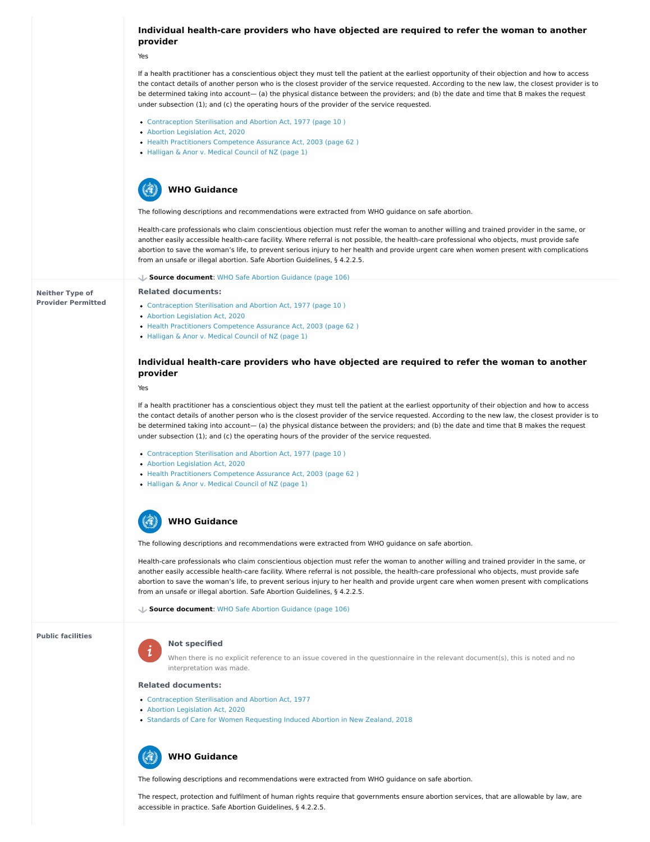**Neither Type of Provider Permitted**

**Public facilities**



### **Individual health-care providers who have objected are required to refer the woman to another provider**

Yes

- [Contraception](https://abortion-policies.srhr.org/documents/countries/02-New-Zealand-Contraception-Sterilisation-and-Abortion-Act-1977.pdf#page=10 
) Sterilisation and Abortion Act, 1977 (page 10 )
- Abortion [Legislation](https://abortion-policies.srhr.org/documents/countries/05-New-Zealand-Abortion-Legislation-Act-2020.PDF#PAGE=6 
) Act, 2020
- Health Practitioners [Competence](https://abortion-policies.srhr.org/documents/countries/09-New-Zealand-Health-Practitioners-Competence-Assurance-Act-2003.pdf#page=62 
) Assurance Act, 2003 (page 62)
- [Halligan](https://abortion-policies.srhr.org/documents/countries/11-New-Zealand-Halligan-and-Anor-v-Medical-Council-of-NZ-High-Court-of-NZ-2010.pdf#page=1) & Anor v. Medical Council of NZ (page 1)

If a health practitioner has a conscientious object they must tell the patient at the earliest opportunity of their objection and how to access the contact details of another person who is the closest provider of the service requested. According to the new law, the closest provider is to be determined taking into account— (a) the physical distance between the providers; and (b) the date and time that B makes the request under subsection (1); and (c) the operating hours of the provider of the service requested.

- [Contraception](https://abortion-policies.srhr.org/documents/countries/02-New-Zealand-Contraception-Sterilisation-and-Abortion-Act-1977.pdf#page=10 
) Sterilisation and Abortion Act, 1977 (page 10 )
- Abortion [Legislation](https://abortion-policies.srhr.org/documents/countries/05-New-Zealand-Abortion-Legislation-Act-2020.PDF#PAGE=6 
) Act, 2020
- Health Practitioners [Competence](https://abortion-policies.srhr.org/documents/countries/09-New-Zealand-Health-Practitioners-Competence-Assurance-Act-2003.pdf#page=62 
) Assurance Act, 2003 (page 62 )
- [Halligan](https://abortion-policies.srhr.org/documents/countries/11-New-Zealand-Halligan-and-Anor-v-Medical-Council-of-NZ-High-Court-of-NZ-2010.pdf#page=1) & Anor v. Medical Council of NZ (page 1)

The following descriptions and recommendations were extracted from WHO guidance on safe abortion.

- [Contraception](https://abortion-policies.srhr.org/documents/countries/02-New-Zealand-Contraception-Sterilisation-and-Abortion-Act-1977.pdf#page=10 
) Sterilisation and Abortion Act, 1977 (page 10 )
- Abortion [Legislation](https://abortion-policies.srhr.org/documents/countries/05-New-Zealand-Abortion-Legislation-Act-2020.PDF#PAGE=6 
) Act, 2020
- Health Practitioners [Competence](https://abortion-policies.srhr.org/documents/countries/09-New-Zealand-Health-Practitioners-Competence-Assurance-Act-2003.pdf#page=62 
) Assurance Act, 2003 (page 62 )
- [Halligan](https://abortion-policies.srhr.org/documents/countries/11-New-Zealand-Halligan-and-Anor-v-Medical-Council-of-NZ-High-Court-of-NZ-2010.pdf#page=1) & Anor v. Medical Council of NZ (page 1)

Health-care professionals who claim conscientious objection must refer the woman to another willing and trained provider in the same, or another easily accessible health-care facility. Where referral is not possible, the health-care professional who objects, must provide safe abortion to save the woman's life, to prevent serious injury to her health and provide urgent care when women present with complications from an unsafe or illegal abortion. Safe Abortion Guidelines, § 4.2.2.5.



**Source document**: WHO Safe Abortion [Guidance](https://abortion-policies.srhr.org/documents/reference/WHO-Safe-Abortion-Guidance-2012.pdf#page=106) (page 106)

#### **Related documents:**

- [Contraception](https://abortion-policies.srhr.org/documents/countries/02-New-Zealand-Contraception-Sterilisation-and-Abortion-Act-1977.pdf) Sterilisation and Abortion Act, 1977
- Abortion [Legislation](https://abortion-policies.srhr.org/documents/countries/05-New-Zealand-Abortion-Legislation-Act-2020.pdf) Act, 2020
- Standards of Care for Women [Requesting](https://abortion-policies.srhr.org/documents/countries/12-New-Zealand-Standards-Care-Guidelines-Abortion-2018.pdf) Induced Abortion in New Zealand, 2018

### **Individual health-care providers who have objected are required to refer the woman to another provider**

Yes

If a health practitioner has a conscientious object they must tell the patient at the earliest opportunity of their objection and how to access the contact details of another person who is the closest provider of the service requested. According to the new law, the closest provider is to be determined taking into account— (a) the physical distance between the providers; and (b) the date and time that B makes the request under subsection (1); and (c) the operating hours of the provider of the service requested.

The following descriptions and recommendations were extracted from WHO guidance on safe abortion.

Health-care professionals who claim conscientious objection must refer the woman to another willing and trained provider in the same, or another easily accessible health-care facility. Where referral is not possible, the health-care professional who objects, must provide safe abortion to save the woman's life, to prevent serious injury to her health and provide urgent care when women present with complications from an unsafe or illegal abortion. Safe Abortion Guidelines, § 4.2.2.5.

# **WHO Guidance**

**Source document**: WHO Safe Abortion [Guidance](https://abortion-policies.srhr.org/documents/reference/WHO-Safe-Abortion-Guidance-2012.pdf#page=106) (page 106)

#### **Not specified**

When there is no explicit reference to an issue covered in the questionnaire in the relevant document(s), this is noted and no interpretation was made.

#### **Related documents:**

The following descriptions and recommendations were extracted from WHO guidance on safe abortion.

The respect, protection and fulfilment of human rights require that governments ensure abortion services, that are allowable by law, are accessible in practice. Safe Abortion Guidelines, § 4.2.2.5.

# **WHO Guidance**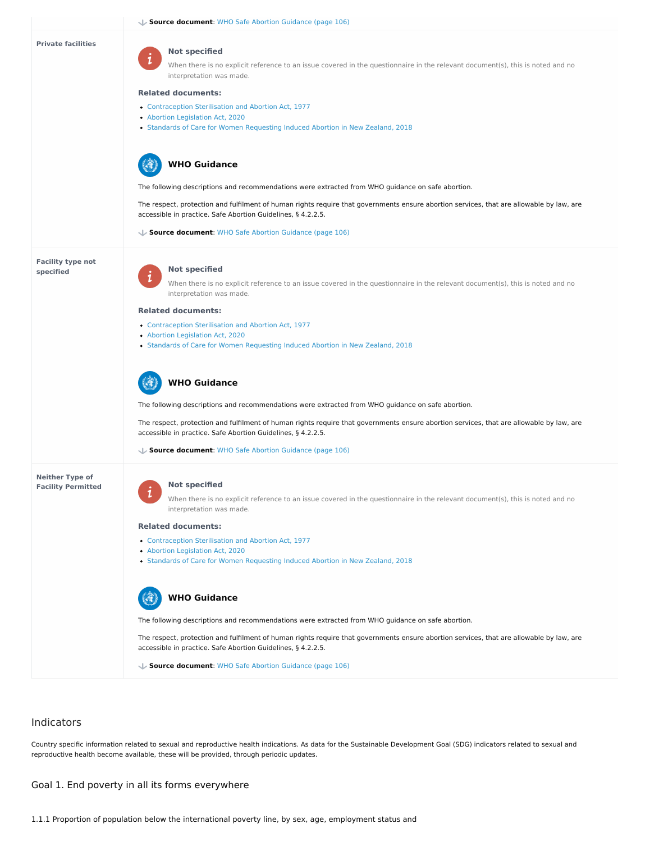# Indicators

Country specific information related to sexual and reproductive health indications. As data for the Sustainable Development Goal (SDG) indicators related to sexual and reproductive health become available, these will be provided, through periodic updates.

#### **Private facilities**

**Facility type not specified**

# $\mathbf 1$

#### **Neither Type of Facility Permitted**



 $\mathbf 1$ 

#### **Not specified**

When there is no explicit reference to an issue covered in the questionnaire in the relevant document(s), this is noted and no interpretation was made.

#### **Related documents:**

 $\mathbf 1$ 

- [Contraception](https://abortion-policies.srhr.org/documents/countries/02-New-Zealand-Contraception-Sterilisation-and-Abortion-Act-1977.pdf) Sterilisation and Abortion Act, 1977
- Abortion [Legislation](https://abortion-policies.srhr.org/documents/countries/05-New-Zealand-Abortion-Legislation-Act-2020.pdf) Act, 2020
- Standards of Care for Women [Requesting](https://abortion-policies.srhr.org/documents/countries/12-New-Zealand-Standards-Care-Guidelines-Abortion-2018.pdf) Induced Abortion in New Zealand, 2018

The following descriptions and recommendations were extracted from WHO guidance on safe abortion.

The respect, protection and fulfilment of human rights require that governments ensure abortion services, that are allowable by law, are accessible in practice. Safe Abortion Guidelines, § 4.2.2.5.

# **WHO Guidance**

**Source document**: WHO Safe Abortion [Guidance](https://abortion-policies.srhr.org/documents/reference/WHO-Safe-Abortion-Guidance-2012.pdf#page=106) (page 106)

#### **Not specified**

When there is no explicit reference to an issue covered in the questionnaire in the relevant document(s), this is noted and no interpretation was made.

#### **Related documents:**

- [Contraception](https://abortion-policies.srhr.org/documents/countries/02-New-Zealand-Contraception-Sterilisation-and-Abortion-Act-1977.pdf) Sterilisation and Abortion Act, 1977
- Abortion [Legislation](https://abortion-policies.srhr.org/documents/countries/05-New-Zealand-Abortion-Legislation-Act-2020.pdf) Act, 2020
- Standards of Care for Women [Requesting](https://abortion-policies.srhr.org/documents/countries/12-New-Zealand-Standards-Care-Guidelines-Abortion-2018.pdf) Induced Abortion in New Zealand, 2018

The following descriptions and recommendations were extracted from WHO guidance on safe abortion.

The respect, protection and fulfilment of human rights require that governments ensure abortion services, that are allowable by law, are accessible in practice. Safe Abortion Guidelines, § 4.2.2.5.

# **WHO Guidance**

**Source document**: WHO Safe Abortion [Guidance](https://abortion-policies.srhr.org/documents/reference/WHO-Safe-Abortion-Guidance-2012.pdf#page=106) (page 106)

### **Not specified**

When there is no explicit reference to an issue covered in the questionnaire in the relevant document(s), this is noted and no interpretation was made.

#### **Related documents:**

- [Contraception](https://abortion-policies.srhr.org/documents/countries/02-New-Zealand-Contraception-Sterilisation-and-Abortion-Act-1977.pdf) Sterilisation and Abortion Act, 1977
- 
- Abortion [Legislation](https://abortion-policies.srhr.org/documents/countries/05-New-Zealand-Abortion-Legislation-Act-2020.pdf) Act, 2020
- Standards of Care for Women [Requesting](https://abortion-policies.srhr.org/documents/countries/12-New-Zealand-Standards-Care-Guidelines-Abortion-2018.pdf) Induced Abortion in New Zealand, 2018

The following descriptions and recommendations were extracted from WHO guidance on safe abortion.

The respect, protection and fulfilment of human rights require that governments ensure abortion services, that are allowable by law, are accessible in practice. Safe Abortion Guidelines, § 4.2.2.5.

# **WHO Guidance**

**Source document**: WHO Safe Abortion [Guidance](https://abortion-policies.srhr.org/documents/reference/WHO-Safe-Abortion-Guidance-2012.pdf#page=106) (page 106)

Goal 1. End poverty in all its forms everywhere

1.1.1 Proportion of population below the international poverty line, by sex, age, employment status and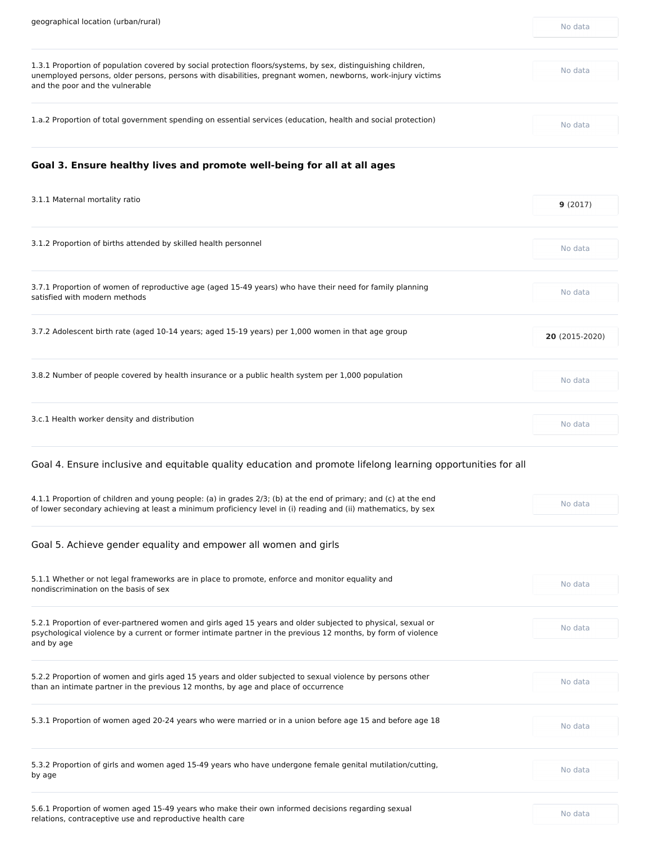| 1.3.1 Proportion of population covered by social protection floors/systems, by sex, distinguishing children,<br>unemployed persons, older persons, persons with disabilities, pregnant women, newborns, work-injury victims<br>and the poor and the vulnerable | No data |
|----------------------------------------------------------------------------------------------------------------------------------------------------------------------------------------------------------------------------------------------------------------|---------|
| 1.a.2 Proportion of total government spending on essential services (education, health and social protection)                                                                                                                                                  | No data |

# **Goal 3. Ensure healthy lives and promote well-being for all at all ages**

| 3.1.1 Maternal mortality ratio                                                                                                            | 9(2017)        |
|-------------------------------------------------------------------------------------------------------------------------------------------|----------------|
| 3.1.2 Proportion of births attended by skilled health personnel                                                                           | No data        |
| 3.7.1 Proportion of women of reproductive age (aged 15-49 years) who have their need for family planning<br>satisfied with modern methods | No data        |
| 3.7.2 Adolescent birth rate (aged 10-14 years; aged 15-19 years) per 1,000 women in that age group                                        | 20 (2015-2020) |
| 3.8.2 Number of people covered by health insurance or a public health system per 1,000 population                                         | No data        |
| 3.c.1 Health worker density and distribution                                                                                              | No data        |

Goal 4. Ensure inclusive and equitable quality education and promote lifelong learning opportunities for all

4.1.1 Proportion of children and young people: (a) in grades 2/3; (b) at the end of primary; and (c) at the end of lower secondary achieving at least a minimum proficiency level in (i) reading and (ii) mathematics, by sex

| No data |
|---------|
| No data |
| No data |
| No data |
| No data |
|         |

5.6.1 Proportion of women aged 15-49 years who make their own informed decisions regarding sexual relations, contraceptive use and reproductive health care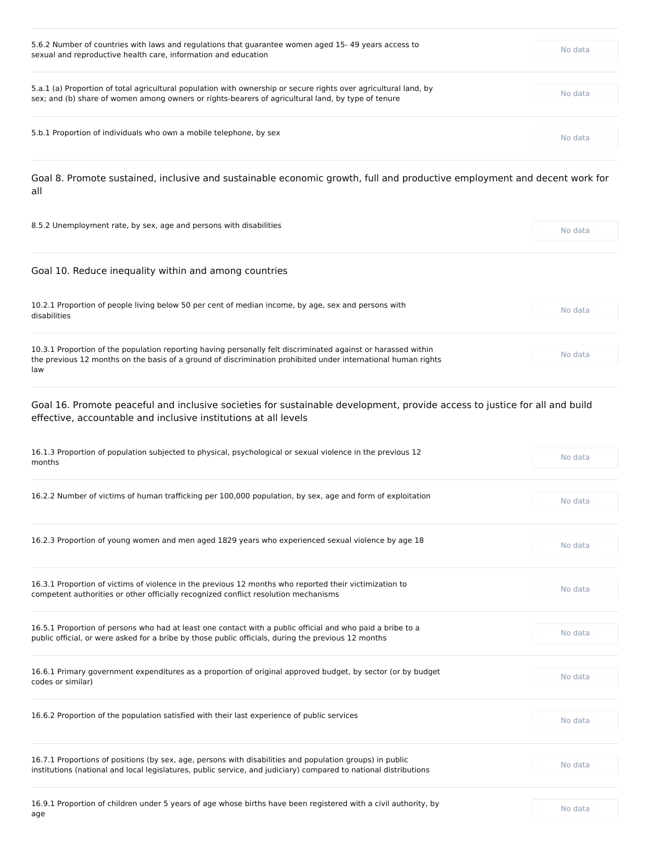| 5.6.2 Number of countries with laws and regulations that guarantee women aged 15-49 years access to<br>sexual and reproductive health care, information and education                                                  | No data |
|------------------------------------------------------------------------------------------------------------------------------------------------------------------------------------------------------------------------|---------|
| 5.a.1 (a) Proportion of total agricultural population with ownership or secure rights over agricultural land, by<br>sex; and (b) share of women among owners or rights-bearers of agricultural land, by type of tenure | No data |
| 5.b.1 Proportion of individuals who own a mobile telephone, by sex                                                                                                                                                     | No data |

Goal 8. Promote sustained, inclusive and sustainable economic growth, full and productive employment and decent work for all

| 8.5.2 Unemployment rate, by sex, age and persons with disabilities                                                                                                                                                                    | No data |
|---------------------------------------------------------------------------------------------------------------------------------------------------------------------------------------------------------------------------------------|---------|
| Goal 10. Reduce inequality within and among countries                                                                                                                                                                                 |         |
| 10.2.1 Proportion of people living below 50 per cent of median income, by age, sex and persons with<br>disabilities                                                                                                                   | No data |
| 10.3.1 Proportion of the population reporting having personally felt discriminated against or harassed within<br>the previous 12 months on the basis of a ground of discrimination prohibited under international human rights<br>law | No data |

| 16.1.3 Proportion of population subjected to physical, psychological or sexual violence in the previous 12<br>months | No data |
|----------------------------------------------------------------------------------------------------------------------|---------|
|                                                                                                                      |         |
| 16.2.2 Number of victims of human trafficking per 100,000 population, by sex, age and form of exploitation           | No data |

16.2.3 Proportion of young women and men aged 1829 years who experienced sexual violence by age 18 No Modata

Goal 16. Promote peaceful and inclusive societies for sustainable development, provide access to justice for all and build effective, accountable and inclusive institutions at all levels

| 16.3.1 Proportion of victims of violence in the previous 12 months who reported their victimization to<br>competent authorities or other officially recognized conflict resolution mechanisms                                | No data |
|------------------------------------------------------------------------------------------------------------------------------------------------------------------------------------------------------------------------------|---------|
| 16.5.1 Proportion of persons who had at least one contact with a public official and who paid a bribe to a<br>public official, or were asked for a bribe by those public officials, during the previous 12 months            | No data |
| 16.6.1 Primary government expenditures as a proportion of original approved budget, by sector (or by budget<br>codes or similar)                                                                                             | No data |
| 16.6.2 Proportion of the population satisfied with their last experience of public services                                                                                                                                  | No data |
| 16.7.1 Proportions of positions (by sex, age, persons with disabilities and population groups) in public<br>institutions (national and local legislatures, public service, and judiciary) compared to national distributions | No data |
| 16.9.1 Proportion of children under 5 years of age whose births have been registered with a civil authority, by<br>age                                                                                                       | No data |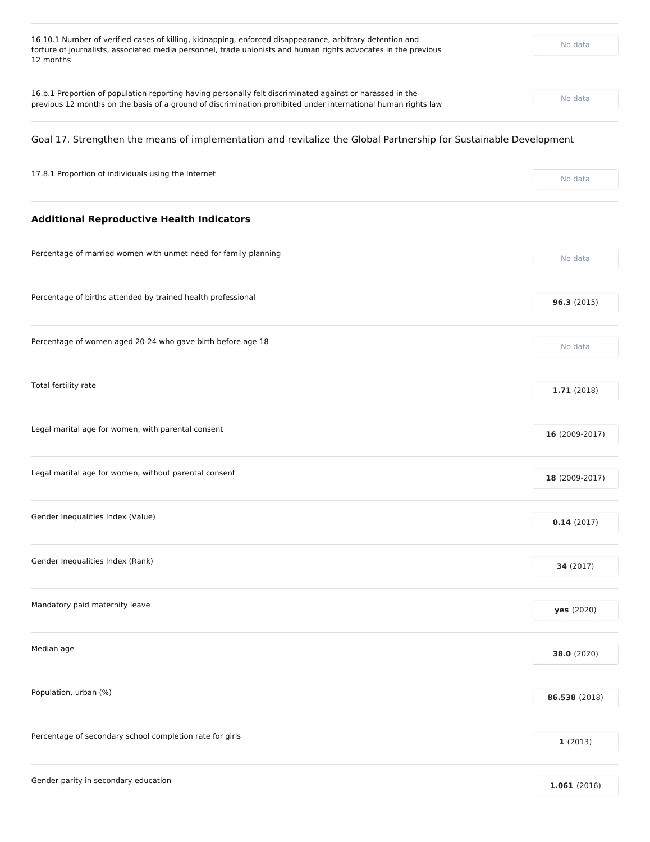| 16.10.1 Number of verified cases of killing, kidnapping, enforced disappearance, arbitrary detention and<br>torture of journalists, associated media personnel, trade unionists and human rights advocates in the previous<br>12 months | No data |
|-----------------------------------------------------------------------------------------------------------------------------------------------------------------------------------------------------------------------------------------|---------|
| 16.b.1 Proportion of population reporting having personally felt discriminated against or harassed in the<br>previous 12 months on the basis of a ground of discrimination prohibited under international human rights law              | No data |
|                                                                                                                                                                                                                                         |         |

# Goal 17. Strengthen the means of implementation and revitalize the Global Partnership for Sustainable Development

| 17.8.1 Proportion of individuals using the Internet | No data |
|-----------------------------------------------------|---------|
|-----------------------------------------------------|---------|

# **Additional Reproductive Health Indicators**

| No data        |
|----------------|
| 96.3(2015)     |
| No data        |
| 1.71(2018)     |
| 16 (2009-2017) |
| 18 (2009-2017) |
|                |

**0.14** (2017)

| Gender Inequalities Index (Rank)                         | 34 (2017)         |
|----------------------------------------------------------|-------------------|
| Mandatory paid maternity leave                           | <b>yes</b> (2020) |
| Median age                                               | 38.0 (2020)       |
| Population, urban (%)                                    | 86.538 (2018)     |
| Percentage of secondary school completion rate for girls | 1(2013)           |
| Gender parity in secondary education                     | 1.061(2016)       |